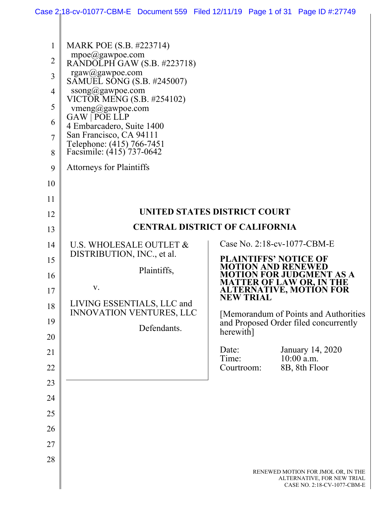|                | Case 2:18-cv-01077-CBM-E Document 559 Filed 12/11/19 Page 1 of 31 Page ID #:27749 |                     |                                                           |                                                                                                      |
|----------------|-----------------------------------------------------------------------------------|---------------------|-----------------------------------------------------------|------------------------------------------------------------------------------------------------------|
|                |                                                                                   |                     |                                                           |                                                                                                      |
| $\mathbf 1$    | MARK POE (S.B. #223714)                                                           |                     |                                                           |                                                                                                      |
| $\overline{2}$ | mpoe@gawpoe.com<br>RANDOLPH GAW (S.B. #223718)                                    |                     |                                                           |                                                                                                      |
| 3              | rgaw@gawpoe.com<br>SAMUEL SONG (S.B. #245007)                                     |                     |                                                           |                                                                                                      |
| $\overline{4}$ | ssong@gawpoe.com                                                                  |                     |                                                           |                                                                                                      |
| 5              | VICTOR MENG (S.B. #254102)<br>vmeng@gawpoe.com                                    |                     |                                                           |                                                                                                      |
| 6              | GAW   POE LLP<br>4 Embarcadero, Suite 1400                                        |                     |                                                           |                                                                                                      |
| $\overline{7}$ | San Francisco, CA 94111                                                           |                     |                                                           |                                                                                                      |
| 8              | Telephone: (415) 766-7451<br>Facsimile: (415) 737-0642                            |                     |                                                           |                                                                                                      |
| 9              | <b>Attorneys for Plaintiffs</b>                                                   |                     |                                                           |                                                                                                      |
| 10             |                                                                                   |                     |                                                           |                                                                                                      |
| 11             |                                                                                   |                     |                                                           |                                                                                                      |
| 12             | UNITED STATES DISTRICT COURT                                                      |                     |                                                           |                                                                                                      |
| 13             | <b>CENTRAL DISTRICT OF CALIFORNIA</b>                                             |                     |                                                           |                                                                                                      |
| 14             | U.S. WHOLESALE OUTLET &<br>DISTRIBUTION, INC., et al.                             |                     | Case No. 2:18-cv-1077-CBM-E                               |                                                                                                      |
| 15             | Plaintiffs,                                                                       |                     | <b>PLAINTIFFS' NOTICE OF</b><br><b>MOTION AND RENEWED</b> |                                                                                                      |
| 16             | V.                                                                                |                     |                                                           | <b>MOTION FOR JUDGMENT AS A</b><br><b>MATTER OF LAW OR, IN THE</b><br><b>ALTERNATIVE, MOTION FOR</b> |
| 17<br>18       | LIVING ESSENTIALS, LLC and                                                        | <b>NEW TRIAL</b>    |                                                           |                                                                                                      |
| 19             | <b>INNOVATION VENTURES, LLC</b>                                                   |                     |                                                           | [Memorandum of Points and Authorities                                                                |
| 20             | Defendants.                                                                       | herewith]           |                                                           | and Proposed Order filed concurrently                                                                |
| 21             |                                                                                   | Date:               |                                                           | January 14, 2020                                                                                     |
| 22             |                                                                                   | Time:<br>Courtroom: |                                                           | $10:00$ a.m.<br>8B, 8th Floor                                                                        |
| 23             |                                                                                   |                     |                                                           |                                                                                                      |
| 24             |                                                                                   |                     |                                                           |                                                                                                      |
| 25             |                                                                                   |                     |                                                           |                                                                                                      |
| 26             |                                                                                   |                     |                                                           |                                                                                                      |
| 27             |                                                                                   |                     |                                                           |                                                                                                      |
| 28             |                                                                                   |                     |                                                           |                                                                                                      |
|                |                                                                                   |                     |                                                           | RENEWED MOTION FOR JMOL OR, IN THE<br>ALTERNATIVE, FOR NEW TRIAL<br>CASE NO. 2:18-CV-1077-CBM-E      |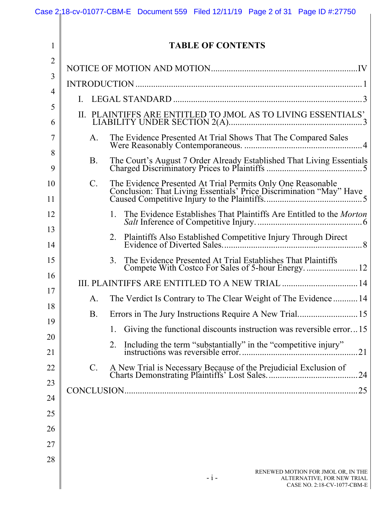|                     |                | Case 2:18-cv-01077-CBM-E Document 559 Filed 12/11/19 Page 2 of 31 Page ID #:27750                        |
|---------------------|----------------|----------------------------------------------------------------------------------------------------------|
| $\mathbf{1}$        |                | <b>TABLE OF CONTENTS</b>                                                                                 |
| $\overline{2}$<br>3 |                |                                                                                                          |
| 4                   |                |                                                                                                          |
| 5                   | L.             |                                                                                                          |
| 6                   | II.            | PLAINTIFFS ARE ENTITLED TO JMOL AS TO LIVING ESSENTIALS'                                                 |
| 7<br>8              | A.             |                                                                                                          |
| 9                   | <b>B.</b>      |                                                                                                          |
| 10<br>11            | $\mathbf{C}$ . |                                                                                                          |
| 12                  |                | 1.                                                                                                       |
| 13<br>14            |                | 2.                                                                                                       |
| 15                  |                | The Evidence Presented At Trial Establishes That Plaintiffs<br>3.                                        |
| 16                  |                | III. PLAINTIFFS ARE ENTITLED TO A NEW TRIAL  14                                                          |
| 17                  | A.             | The Verdict Is Contrary to The Clear Weight of The Evidence  14                                          |
| 18                  | <b>B.</b>      |                                                                                                          |
| 19                  |                | Giving the functional discounts instruction was reversible error15<br>1.                                 |
| 20<br>21            |                | 2.                                                                                                       |
| 22                  | C.             |                                                                                                          |
| 23                  |                |                                                                                                          |
| 24                  |                |                                                                                                          |
| 25                  |                |                                                                                                          |
| 26                  |                |                                                                                                          |
| 27                  |                |                                                                                                          |
| 28                  |                |                                                                                                          |
|                     |                | RENEWED MOTION FOR JMOL OR, IN THE<br>$-i-$<br>ALTERNATIVE, FOR NEW TRIAL<br>CASE NO. 2:18-CV-1077-CBM-E |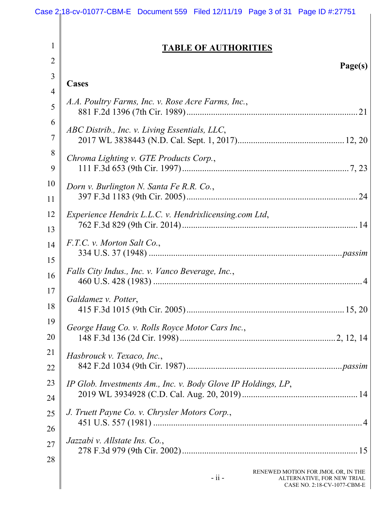1

|  | <b>TABLE OF AUTHORITIES</b> |
|--|-----------------------------|
|  |                             |

| $\overline{2}$ | Page(s)                                                       |
|----------------|---------------------------------------------------------------|
| 3              | <b>Cases</b>                                                  |
| $\overline{4}$ |                                                               |
| 5              | A.A. Poultry Farms, Inc. v. Rose Acre Farms, Inc.,            |
| 6              | ABC Distrib., Inc. v. Living Essentials, LLC,                 |
| $\overline{7}$ |                                                               |
| 8              | Chroma Lighting v. GTE Products Corp.,                        |
| 9              |                                                               |
| 10             | Dorn v. Burlington N. Santa Fe R.R. Co.,                      |
| 11             |                                                               |
| 12             | Experience Hendrix L.L.C. v. Hendrixlicensing.com Ltd,        |
| 13             |                                                               |
| 14             | F.T.C. v. Morton Salt Co.,                                    |
| 15             |                                                               |
| 16             | Falls City Indus., Inc. v. Vanco Beverage, Inc.,              |
| 17             |                                                               |
| 18             | Galdamez v. Potter,                                           |
| 19             |                                                               |
| 20             | George Haug Co. v. Rolls Royce Motor Cars Inc.,               |
| 21             |                                                               |
|                | Hasbrouck v. Texaco, Inc.,                                    |
| 22             |                                                               |
| 23             | IP Glob. Investments Am., Inc. v. Body Glove IP Holdings, LP, |
| 24             |                                                               |
| 25             | J. Truett Payne Co. v. Chrysler Motors Corp.,                 |
| 26             |                                                               |
| 27             | Jazzabi v. Allstate Ins. Co.,                                 |
|                |                                                               |
| 28             | RENEWED MOTION FOR JMOL OR, IN THE                            |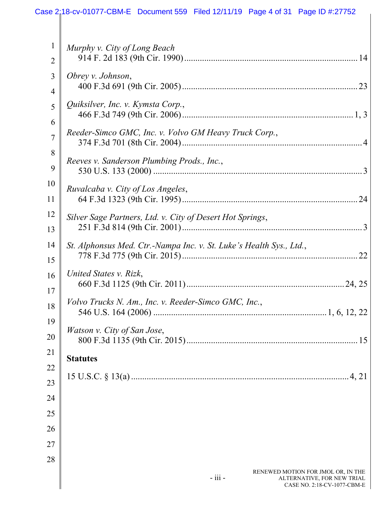#### 1 2 3 4 5 6 7 8 9 10 11 12 13 14 15 16 17 18 19 20 21 22 23 24 25 26 27 28 RENEWED MOTION FOR JMOL OR, IN THE *Murphy v. City of Long Beach* 914 F. 2d 183 (9th Cir. 1990) .............................................................................. 14 *Obrey v. Johnson*, 400 F.3d 691 (9th Cir. 2005) ............................................................................... 23 *Quiksilver, Inc. v. Kymsta Corp.*, 466 F.3d 749 (9th Cir. 2006) ............................................................................. 1, 3 *Reeder-Simco GMC, Inc. v. Volvo GM Heavy Truck Corp.*, 374 F.3d 701 (8th Cir. 2004) ................................................................................. 4 *Reeves v. Sanderson Plumbing Prods., Inc.*, 530 U.S. 133 (2000) .............................................................................................. 3 *Ruvalcaba v. City of Los Angeles*, 64 F.3d 1323 (9th Cir. 1995) ............................................................................... 24 *Silver Sage Partners, Ltd. v. City of Desert Hot Springs*, 251 F.3d 814 (9th Cir. 2001) ................................................................................. 3 *St. Alphonsus Med. Ctr.-Nampa Inc. v. St. Luke's Health Sys., Ltd.*, 778 F.3d 775 (9th Cir. 2015) ............................................................................... 22 *United States v. Rizk*, 660 F.3d 1125 (9th Cir. 2011) ....................................................................... 24, 25 *Volvo Trucks N. Am., Inc. v. Reeder-Simco GMC, Inc.*, 546 U.S. 164 (2006) .............................................................................. 1, 6, 12, 22 *Watson v. City of San Jose*, 800 F.3d 1135 (9th Cir. 2015) ............................................................................. 15 **Statutes**  15 U.S.C. § 13(a) .................................................................................................. 4, 21 Case 2:18-cv-01077-CBM-E Document 559 Filed 12/11/19 Page 4 of 31 Page ID #:27752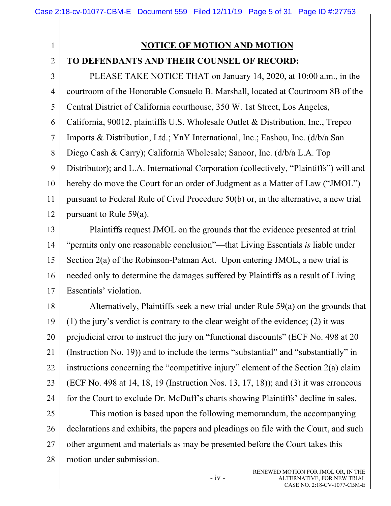#### 1 2 3 4 5 6 7 8 9 10 11 12 13 14 15 16 17 18 19 20 21 22 23 24 25 26 27 **NOTICE OF MOTION AND MOTION TO DEFENDANTS AND THEIR COUNSEL OF RECORD:**  PLEASE TAKE NOTICE THAT on January 14, 2020, at 10:00 a.m., in the courtroom of the Honorable Consuelo B. Marshall, located at Courtroom 8B of the Central District of California courthouse, 350 W. 1st Street, Los Angeles, California, 90012, plaintiffs U.S. Wholesale Outlet & Distribution, Inc., Trepco Imports & Distribution, Ltd.; YnY International, Inc.; Eashou, Inc. (d/b/a San Diego Cash & Carry); California Wholesale; Sanoor, Inc. (d/b/a L.A. Top Distributor); and L.A. International Corporation (collectively, "Plaintiffs") will and hereby do move the Court for an order of Judgment as a Matter of Law ("JMOL") pursuant to Federal Rule of Civil Procedure 50(b) or, in the alternative, a new trial pursuant to Rule 59(a). Plaintiffs request JMOL on the grounds that the evidence presented at trial "permits only one reasonable conclusion"—that Living Essentials *is* liable under Section 2(a) of the Robinson-Patman Act. Upon entering JMOL, a new trial is needed only to determine the damages suffered by Plaintiffs as a result of Living Essentials' violation. Alternatively, Plaintiffs seek a new trial under Rule 59(a) on the grounds that (1) the jury's verdict is contrary to the clear weight of the evidence; (2) it was prejudicial error to instruct the jury on "functional discounts" (ECF No. 498 at 20 (Instruction No. 19)) and to include the terms "substantial" and "substantially" in instructions concerning the "competitive injury" element of the Section 2(a) claim (ECF No. 498 at 14, 18, 19 (Instruction Nos. 13, 17, 18)); and (3) it was erroneous for the Court to exclude Dr. McDuff's charts showing Plaintiffs' decline in sales. This motion is based upon the following memorandum, the accompanying declarations and exhibits, the papers and pleadings on file with the Court, and such other argument and materials as may be presented before the Court takes this

28

motion under submission.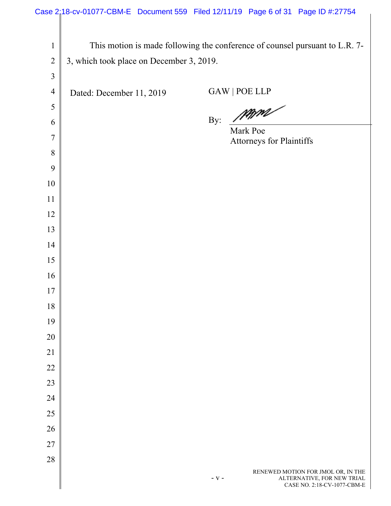# Case 2:18-cv-01077-CBM-E Document 559 Filed 12/11/19 Page 6 of 31 Page ID #:27754

|                |                                          | This motion is made following the conference of counsel pursuant to L.R. 7-                                |
|----------------|------------------------------------------|------------------------------------------------------------------------------------------------------------|
| $\mathbf{1}$   |                                          |                                                                                                            |
| $\overline{2}$ | 3, which took place on December 3, 2019. |                                                                                                            |
| $\mathfrak{Z}$ |                                          |                                                                                                            |
| $\overline{4}$ | Dated: December 11, 2019                 | GAW   POE LLP                                                                                              |
| 5              |                                          | By: MAM                                                                                                    |
| 6              |                                          | Mark Poe                                                                                                   |
| 7              |                                          | Attorneys for Plaintiffs                                                                                   |
| 8              |                                          |                                                                                                            |
| 9              |                                          |                                                                                                            |
| 10             |                                          |                                                                                                            |
| 11             |                                          |                                                                                                            |
| 12             |                                          |                                                                                                            |
| 13             |                                          |                                                                                                            |
| 14             |                                          |                                                                                                            |
| 15             |                                          |                                                                                                            |
| 16             |                                          |                                                                                                            |
| 17             |                                          |                                                                                                            |
| 18             |                                          |                                                                                                            |
| 19             |                                          |                                                                                                            |
| 20             |                                          |                                                                                                            |
| 21             |                                          |                                                                                                            |
| 22             |                                          |                                                                                                            |
| 23             |                                          |                                                                                                            |
| 24             |                                          |                                                                                                            |
| 25             |                                          |                                                                                                            |
| 26             |                                          |                                                                                                            |
| 27             |                                          |                                                                                                            |
| 28             |                                          |                                                                                                            |
|                |                                          | RENEWED MOTION FOR JMOL OR, IN THE<br>ALTERNATIVE, FOR NEW TRIAL<br>$- V -$<br>CASE NO. 2:18-CV-1077-CBM-E |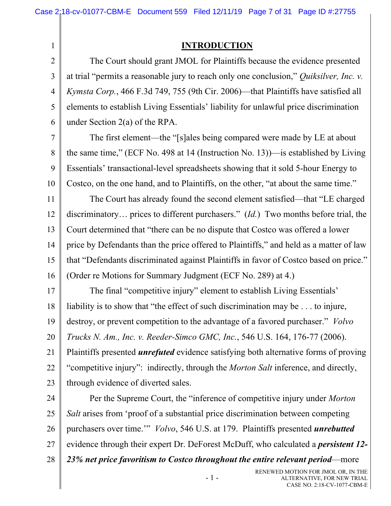1

### **INTRODUCTION**

2 3 4 5 6 The Court should grant JMOL for Plaintiffs because the evidence presented at trial "permits a reasonable jury to reach only one conclusion," *Quiksilver, Inc. v. Kymsta Corp.*, 466 F.3d 749, 755 (9th Cir. 2006)—that Plaintiffs have satisfied all elements to establish Living Essentials' liability for unlawful price discrimination under Section 2(a) of the RPA.

7 8 9 10 The first element—the "[s]ales being compared were made by LE at about the same time," (ECF No. 498 at 14 (Instruction No. 13))—is established by Living Essentials' transactional-level spreadsheets showing that it sold 5-hour Energy to Costco, on the one hand, and to Plaintiffs, on the other, "at about the same time."

11 12 13 14 15 16 The Court has already found the second element satisfied—that "LE charged discriminatory… prices to different purchasers." (*Id.*) Two months before trial, the Court determined that "there can be no dispute that Costco was offered a lower price by Defendants than the price offered to Plaintiffs," and held as a matter of law that "Defendants discriminated against Plaintiffs in favor of Costco based on price." (Order re Motions for Summary Judgment (ECF No. 289) at 4.)

17 18 19 20 21 22 23 The final "competitive injury" element to establish Living Essentials' liability is to show that "the effect of such discrimination may be . . . to injure, destroy, or prevent competition to the advantage of a favored purchaser." *Volvo Trucks N. Am., Inc. v. Reeder-Simco GMC, Inc.*, 546 U.S. 164, 176-77 (2006). Plaintiffs presented *unrefuted* evidence satisfying both alternative forms of proving "competitive injury": indirectly, through the *Morton Salt* inference, and directly, through evidence of diverted sales.

24 25 26 27 28 Per the Supreme Court, the "inference of competitive injury under *Morton Salt* arises from 'proof of a substantial price discrimination between competing purchasers over time.'" *Volvo*, 546 U.S. at 179. Plaintiffs presented *unrebutted* evidence through their expert Dr. DeForest McDuff, who calculated a *persistent 12- 23% net price favoritism to Costco throughout the entire relevant period*—more

- 1 -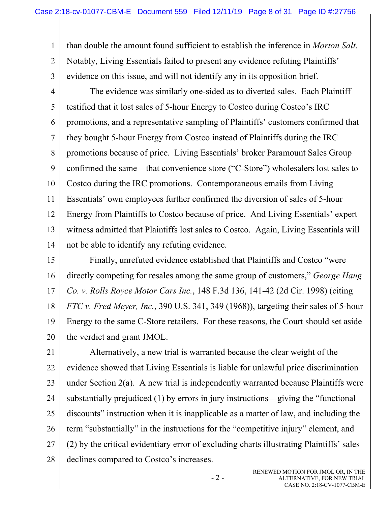1 2 3 than double the amount found sufficient to establish the inference in *Morton Salt*. Notably, Living Essentials failed to present any evidence refuting Plaintiffs' evidence on this issue, and will not identify any in its opposition brief.

4 5 6 7 8 9 10 11 12 13 14 The evidence was similarly one-sided as to diverted sales. Each Plaintiff testified that it lost sales of 5-hour Energy to Costco during Costco's IRC promotions, and a representative sampling of Plaintiffs' customers confirmed that they bought 5-hour Energy from Costco instead of Plaintiffs during the IRC promotions because of price. Living Essentials' broker Paramount Sales Group confirmed the same—that convenience store ("C-Store") wholesalers lost sales to Costco during the IRC promotions. Contemporaneous emails from Living Essentials' own employees further confirmed the diversion of sales of 5-hour Energy from Plaintiffs to Costco because of price. And Living Essentials' expert witness admitted that Plaintiffs lost sales to Costco. Again, Living Essentials will not be able to identify any refuting evidence.

15 16 17 18 19 20 Finally, unrefuted evidence established that Plaintiffs and Costco "were directly competing for resales among the same group of customers," *George Haug Co. v. Rolls Royce Motor Cars Inc.*, 148 F.3d 136, 141-42 (2d Cir. 1998) (citing *FTC v. Fred Meyer, Inc.*, 390 U.S. 341, 349 (1968)), targeting their sales of 5-hour Energy to the same C-Store retailers. For these reasons, the Court should set aside the verdict and grant JMOL.

21 22 23 24 25 26 27 28 Alternatively, a new trial is warranted because the clear weight of the evidence showed that Living Essentials is liable for unlawful price discrimination under Section 2(a). A new trial is independently warranted because Plaintiffs were substantially prejudiced (1) by errors in jury instructions—giving the "functional discounts" instruction when it is inapplicable as a matter of law, and including the term "substantially" in the instructions for the "competitive injury" element, and (2) by the critical evidentiary error of excluding charts illustrating Plaintiffs' sales declines compared to Costco's increases.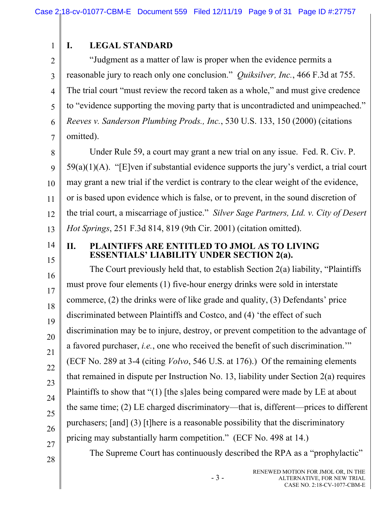2

1

7

## **I. LEGAL STANDARD**

3 4 5 6 "Judgment as a matter of law is proper when the evidence permits a reasonable jury to reach only one conclusion." *Quiksilver, Inc.*, 466 F.3d at 755. The trial court "must review the record taken as a whole," and must give credence to "evidence supporting the moving party that is uncontradicted and unimpeached." *Reeves v. Sanderson Plumbing Prods., Inc.*, 530 U.S. 133, 150 (2000) (citations omitted).

8 9 10 11 12 13 Under Rule 59, a court may grant a new trial on any issue. Fed. R. Civ. P. 59(a)(1)(A). "[E]ven if substantial evidence supports the jury's verdict, a trial court may grant a new trial if the verdict is contrary to the clear weight of the evidence, or is based upon evidence which is false, or to prevent, in the sound discretion of the trial court, a miscarriage of justice." *Silver Sage Partners, Ltd. v. City of Desert Hot Springs*, 251 F.3d 814, 819 (9th Cir. 2001) (citation omitted).

14 15

16

17

18

19

20

21

22

23

24

25

26

### **II. PLAINTIFFS ARE ENTITLED TO JMOL AS TO LIVING ESSENTIALS' LIABILITY UNDER SECTION 2(a).**

The Court previously held that, to establish Section 2(a) liability, "Plaintiffs must prove four elements (1) five-hour energy drinks were sold in interstate commerce, (2) the drinks were of like grade and quality, (3) Defendants' price discriminated between Plaintiffs and Costco, and (4) 'the effect of such discrimination may be to injure, destroy, or prevent competition to the advantage of a favored purchaser, *i.e.*, one who received the benefit of such discrimination.'" (ECF No. 289 at 3-4 (citing *Volvo*, 546 U.S. at 176).) Of the remaining elements that remained in dispute per Instruction No. 13, liability under Section 2(a) requires Plaintiffs to show that "(1) [the s]ales being compared were made by LE at about the same time; (2) LE charged discriminatory—that is, different—prices to different purchasers; [and] (3) [t]here is a reasonable possibility that the discriminatory pricing may substantially harm competition." (ECF No. 498 at 14.)

27 28

The Supreme Court has continuously described the RPA as a "prophylactic"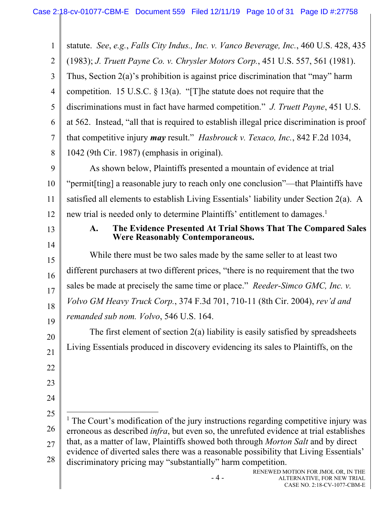1 2 3 4 5 6 7 8 9 10 11 12 13 14 15 16 17 18 19 20 21 22 23 24 25 26 27 28 - 4 - RENEWED MOTION FOR JMOL OR, IN THE ALTERNATIVE, FOR NEW TRIAL CASE NO. 2:18-CV-1077-CBM-E statute. *See*, *e.g.*, *Falls City Indus., Inc. v. Vanco Beverage, Inc.*, 460 U.S. 428, 435 (1983); *J. Truett Payne Co. v. Chrysler Motors Corp.*, 451 U.S. 557, 561 (1981). Thus, Section 2(a)'s prohibition is against price discrimination that "may" harm competition. 15 U.S.C.  $\S$  13(a). "[T]he statute does not require that the discriminations must in fact have harmed competition." *J. Truett Payne*, 451 U.S. at 562. Instead, "all that is required to establish illegal price discrimination is proof that competitive injury *may* result." *Hasbrouck v. Texaco, Inc.*, 842 F.2d 1034, 1042 (9th Cir. 1987) (emphasis in original). As shown below, Plaintiffs presented a mountain of evidence at trial "permit[ting] a reasonable jury to reach only one conclusion"—that Plaintiffs have satisfied all elements to establish Living Essentials' liability under Section 2(a). A new trial is needed only to determine Plaintiffs' entitlement to damages.<sup>1</sup> **A. The Evidence Presented At Trial Shows That The Compared Sales Were Reasonably Contemporaneous.**  While there must be two sales made by the same seller to at least two different purchasers at two different prices, "there is no requirement that the two sales be made at precisely the same time or place." *Reeder-Simco GMC, Inc. v. Volvo GM Heavy Truck Corp.*, 374 F.3d 701, 710-11 (8th Cir. 2004), *rev'd and remanded sub nom. Volvo*, 546 U.S. 164. The first element of section 2(a) liability is easily satisfied by spreadsheets Living Essentials produced in discovery evidencing its sales to Plaintiffs, on the <sup>1</sup> The Court's modification of the jury instructions regarding competitive injury was erroneous as described *infra*, but even so, the unrefuted evidence at trial establishes that, as a matter of law, Plaintiffs showed both through *Morton Salt* and by direct evidence of diverted sales there was a reasonable possibility that Living Essentials' discriminatory pricing may "substantially" harm competition.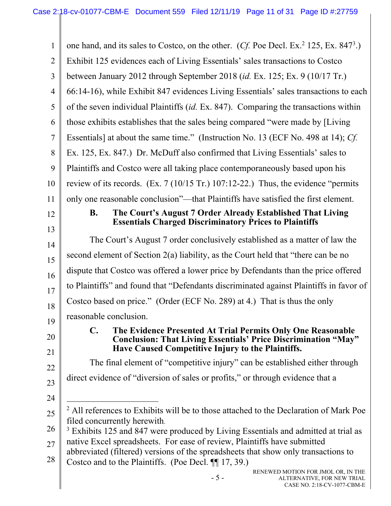| 1              | one hand, and its sales to Costco, on the other. (Cf. Poe Decl. Ex. <sup>2</sup> 125, Ex. 847 <sup>3</sup> .)                                                                                               |
|----------------|-------------------------------------------------------------------------------------------------------------------------------------------------------------------------------------------------------------|
| $\overline{2}$ | Exhibit 125 evidences each of Living Essentials' sales transactions to Costco                                                                                                                               |
| 3              | between January 2012 through September 2018 (id. Ex. 125; Ex. 9 (10/17 Tr.)                                                                                                                                 |
| $\overline{4}$ | 66:14-16), while Exhibit 847 evidences Living Essentials' sales transactions to each                                                                                                                        |
| 5              | of the seven individual Plaintiffs (id. Ex. 847). Comparing the transactions within                                                                                                                         |
| 6              | those exhibits establishes that the sales being compared "were made by [Living]                                                                                                                             |
| $\tau$         | Essentials] at about the same time." (Instruction No. 13 (ECF No. 498 at 14); Cf.                                                                                                                           |
| 8              | Ex. 125, Ex. 847.) Dr. McDuff also confirmed that Living Essentials' sales to                                                                                                                               |
| 9              | Plaintiffs and Costco were all taking place contemporaneously based upon his                                                                                                                                |
| 10             | review of its records. $(Ex. 7 (10/15 Tr.) 107:12-22.)$ Thus, the evidence "permits"                                                                                                                        |
| 11             | only one reasonable conclusion"—that Plaintiffs have satisfied the first element.                                                                                                                           |
| 12             | The Court's August 7 Order Already Established That Living<br><b>B.</b>                                                                                                                                     |
| 13             | <b>Essentials Charged Discriminatory Prices to Plaintiffs</b>                                                                                                                                               |
| 14             | The Court's August 7 order conclusively established as a matter of law the                                                                                                                                  |
| 15             | second element of Section 2(a) liability, as the Court held that "there can be no                                                                                                                           |
| 16             | dispute that Costco was offered a lower price by Defendants than the price offered                                                                                                                          |
| 17             | to Plaintiffs" and found that "Defendants discriminated against Plaintiffs in favor of                                                                                                                      |
| 18             | Costco based on price." (Order (ECF No. 289) at 4.) That is thus the only                                                                                                                                   |
| 19             | reasonable conclusion.                                                                                                                                                                                      |
| 20<br>21       | $\mathbf{C}$ .<br>The Evidence Presented At Trial Permits Only One Reasonable<br><b>Conclusion: That Living Essentials' Price Discrimination "May"</b><br>Have Caused Competitive Injury to the Plaintiffs. |
| 22             | The final element of "competitive injury" can be established either through                                                                                                                                 |
| 23             | direct evidence of "diversion of sales or profits," or through evidence that a                                                                                                                              |
| 24             |                                                                                                                                                                                                             |
| 25             | <sup>2</sup> All references to Exhibits will be to those attached to the Declaration of Mark Poe                                                                                                            |
|                | filed concurrently herewith.                                                                                                                                                                                |
| 26             | <sup>3</sup> Exhibits 125 and 847 were produced by Living Essentials and admitted at trial as<br>native Excel spreadsheets. For ease of review, Plaintiffs have submitted                                   |
| 27             | abbreviated (filtered) versions of the spreadsheets that show only transactions to                                                                                                                          |
| 28             | Costco and to the Plaintiffs. (Poe Decl. $\P$ 17, 39.)                                                                                                                                                      |
|                | RENEWED MOTION FOR JMOL OR, IN THE<br>$-5-$<br>ALTERNATIVE, FOR NEW TRIAL<br>CASE NO. 2:18-CV-1077-CBM-E                                                                                                    |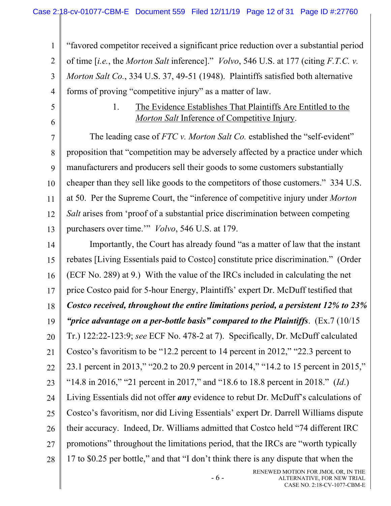1 2 3 4 "favored competitor received a significant price reduction over a substantial period of time [*i.e.*, the *Morton Salt* inference]." *Volvo*, 546 U.S. at 177 (citing *F.T.C. v. Morton Salt Co.*, 334 U.S. 37, 49-51 (1948). Plaintiffs satisfied both alternative forms of proving "competitive injury" as a matter of law.

- 5
- 6

### 1. The Evidence Establishes That Plaintiffs Are Entitled to the *Morton Salt* Inference of Competitive Injury.

7 8 9 10 11 12 13 The leading case of *FTC v. Morton Salt Co.* established the "self-evident" proposition that "competition may be adversely affected by a practice under which manufacturers and producers sell their goods to some customers substantially cheaper than they sell like goods to the competitors of those customers." 334 U.S. at 50. Per the Supreme Court, the "inference of competitive injury under *Morton Salt* arises from 'proof of a substantial price discrimination between competing purchasers over time.'" *Volvo*, 546 U.S. at 179.

14 15 16 17 18 19 20 21 22 23 24 25 26 27 28 Importantly, the Court has already found "as a matter of law that the instant rebates [Living Essentials paid to Costco] constitute price discrimination." (Order (ECF No. 289) at 9.) With the value of the IRCs included in calculating the net price Costco paid for 5-hour Energy, Plaintiffs' expert Dr. McDuff testified that *Costco received, throughout the entire limitations period, a persistent 12% to 23% "price advantage on a per-bottle basis" compared to the Plaintiffs*. (Ex.7 (10/15 Tr.) 122:22-123:9; *see* ECF No. 478-2 at 7). Specifically, Dr. McDuff calculated Costco's favoritism to be "12.2 percent to 14 percent in 2012," "22.3 percent to 23.1 percent in 2013," "20.2 to 20.9 percent in 2014," "14.2 to 15 percent in 2015," "14.8 in 2016," "21 percent in 2017," and "18.6 to 18.8 percent in 2018." (*Id*.) Living Essentials did not offer *any* evidence to rebut Dr. McDuff's calculations of Costco's favoritism, nor did Living Essentials' expert Dr. Darrell Williams dispute their accuracy. Indeed, Dr. Williams admitted that Costco held "74 different IRC promotions" throughout the limitations period, that the IRCs are "worth typically 17 to \$0.25 per bottle," and that "I don't think there is any dispute that when the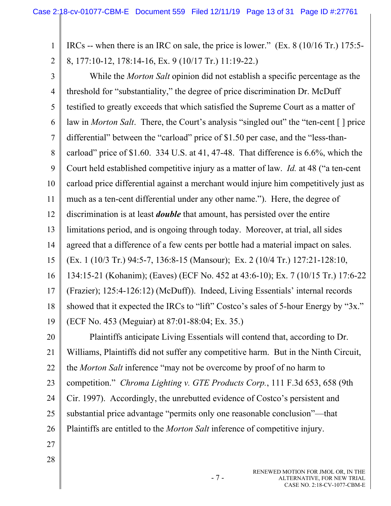1 2 IRCs -- when there is an IRC on sale, the price is lower." (Ex. 8 (10/16 Tr.) 175:5- 8, 177:10-12, 178:14-16, Ex. 9 (10/17 Tr.) 11:19-22.)

3 4 5 6 7 8 9 10 11 12 13 14 15 16 17 18 19 While the *Morton Salt* opinion did not establish a specific percentage as the threshold for "substantiality," the degree of price discrimination Dr. McDuff testified to greatly exceeds that which satisfied the Supreme Court as a matter of law in *Morton Salt*. There, the Court's analysis "singled out" the "ten-cent [ ] price differential" between the "carload" price of \$1.50 per case, and the "less-thancarload" price of \$1.60. 334 U.S. at 41, 47-48. That difference is 6.6%, which the Court held established competitive injury as a matter of law. *Id.* at 48 ("a ten-cent carload price differential against a merchant would injure him competitively just as much as a ten-cent differential under any other name."). Here, the degree of discrimination is at least *double* that amount, has persisted over the entire limitations period, and is ongoing through today. Moreover, at trial, all sides agreed that a difference of a few cents per bottle had a material impact on sales. (Ex. 1 (10/3 Tr.) 94:5-7, 136:8-15 (Mansour); Ex. 2 (10/4 Tr.) 127:21-128:10, 134:15-21 (Kohanim); (Eaves) (ECF No. 452 at 43:6-10); Ex. 7 (10/15 Tr.) 17:6-22 (Frazier); 125:4-126:12) (McDuff)). Indeed, Living Essentials' internal records showed that it expected the IRCs to "lift" Costco's sales of 5-hour Energy by "3x." (ECF No. 453 (Meguiar) at 87:01-88:04; Ex. 35.)

20 21 22 23 24 25 26 Plaintiffs anticipate Living Essentials will contend that, according to Dr. Williams, Plaintiffs did not suffer any competitive harm. But in the Ninth Circuit, the *Morton Salt* inference "may not be overcome by proof of no harm to competition." *Chroma Lighting v. GTE Products Corp.*, 111 F.3d 653, 658 (9th Cir. 1997). Accordingly, the unrebutted evidence of Costco's persistent and substantial price advantage "permits only one reasonable conclusion"—that Plaintiffs are entitled to the *Morton Salt* inference of competitive injury.

27 28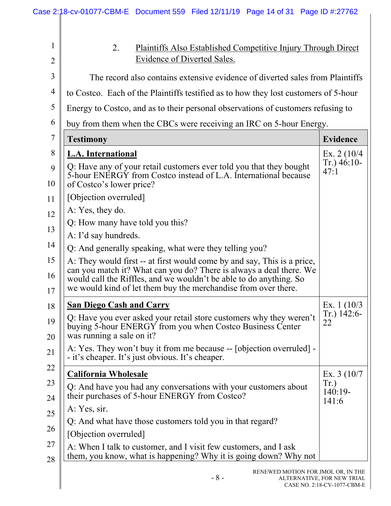|                               |                                                  |                             | Case 2:18-cv-01077-CBM-E Document 559 Filed 12/11/19 Page 14 of 31 Page ID #:27762                                                                                                                                                                                                     |  |                                                                  |
|-------------------------------|--------------------------------------------------|-----------------------------|----------------------------------------------------------------------------------------------------------------------------------------------------------------------------------------------------------------------------------------------------------------------------------------|--|------------------------------------------------------------------|
| $\mathbf 1$<br>$\overline{2}$ | 2.                                               | Evidence of Diverted Sales. | Plaintiffs Also Established Competitive Injury Through Direct                                                                                                                                                                                                                          |  |                                                                  |
| $\overline{3}$                |                                                  |                             | The record also contains extensive evidence of diverted sales from Plaintiffs                                                                                                                                                                                                          |  |                                                                  |
|                               |                                                  |                             | to Costco. Each of the Plaintiffs testified as to how they lost customers of 5-hour                                                                                                                                                                                                    |  |                                                                  |
|                               |                                                  |                             | Energy to Costco, and as to their personal observations of customers refusing to                                                                                                                                                                                                       |  |                                                                  |
|                               |                                                  |                             | buy from them when the CBCs were receiving an IRC on 5-hour Energy.                                                                                                                                                                                                                    |  |                                                                  |
| <b>Testimony</b>              |                                                  |                             |                                                                                                                                                                                                                                                                                        |  | <b>Evidence</b>                                                  |
|                               | L.A. International<br>of Costco's lower price?   |                             | Q: Have any of your retail customers ever told you that they bought<br>5-hour ENERGY from Costco instead of L.A. International because                                                                                                                                                 |  | Ex. $2(10/4)$<br>$Tr.$ ) 46:10-<br>47:1                          |
|                               | [Objection overruled]                            |                             |                                                                                                                                                                                                                                                                                        |  |                                                                  |
|                               | A: Yes, they do.                                 |                             |                                                                                                                                                                                                                                                                                        |  |                                                                  |
|                               | Q: How many have told you this?                  |                             |                                                                                                                                                                                                                                                                                        |  |                                                                  |
|                               | A: I'd say hundreds.                             |                             |                                                                                                                                                                                                                                                                                        |  |                                                                  |
|                               |                                                  |                             | Q: And generally speaking, what were they telling you?                                                                                                                                                                                                                                 |  |                                                                  |
|                               |                                                  |                             | A: They would first -- at first would come by and say, This is a price,<br>can you match it? What can you do? There is always a deal there. We<br>would call the Riffles, and we wouldn't be able to do anything. So<br>we would kind of let them buy the merchandise from over there. |  |                                                                  |
|                               | <b>San Diego Cash and Carry</b>                  |                             |                                                                                                                                                                                                                                                                                        |  | Ex. $1(10/3)$                                                    |
|                               | was running a sale on it?                        |                             | Q: Have you ever asked your retail store customers why they weren't<br>buying 5-hour ENERGY from you when Costco Business Center                                                                                                                                                       |  | $Tr.$ ) 142:6-<br>22                                             |
|                               | - it's cheaper. It's just obvious. It's cheaper. |                             | A: Yes. They won't buy it from me because -- [objection overruled] -                                                                                                                                                                                                                   |  |                                                                  |
|                               | <b>California Wholesale</b>                      |                             |                                                                                                                                                                                                                                                                                        |  | Ex. $3(10/7)$                                                    |
|                               |                                                  |                             | Q: And have you had any conversations with your customers about<br>their purchases of 5-hour ENERGY from Costco?                                                                                                                                                                       |  | Tr.)<br>$140:19-$<br>141:6                                       |
| A: Yes, sir.                  |                                                  |                             |                                                                                                                                                                                                                                                                                        |  |                                                                  |
|                               |                                                  |                             | Q: And what have those customers told you in that regard?                                                                                                                                                                                                                              |  |                                                                  |
|                               | [Objection overruled]                            |                             |                                                                                                                                                                                                                                                                                        |  |                                                                  |
|                               |                                                  |                             | A: When I talk to customer, and I visit few customers, and I ask<br>them, you know, what is happening? Why it is going down? Why not                                                                                                                                                   |  |                                                                  |
|                               |                                                  |                             | $-8-$                                                                                                                                                                                                                                                                                  |  | RENEWED MOTION FOR JMOL OR, IN THE<br>ALTERNATIVE, FOR NEW TRIAL |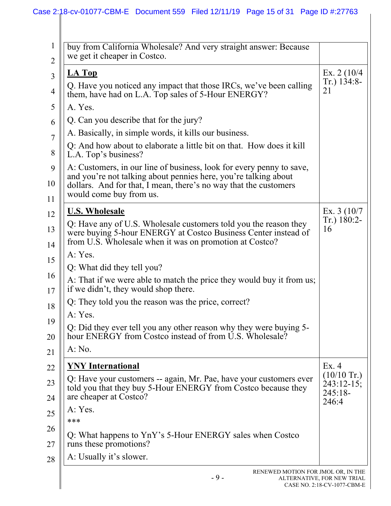# Case 2:18-cv-01077-CBM-E Document 559 Filed 12/11/19 Page 15 of 31 Page ID #:27763

| buy from California Wholesale? And very straight answer: Because<br>we get it cheaper in Costco.                                                                                                                                       |                             |
|----------------------------------------------------------------------------------------------------------------------------------------------------------------------------------------------------------------------------------------|-----------------------------|
| <b>LA Top</b>                                                                                                                                                                                                                          | Ex. 2 $(10/4)$              |
| Q. Have you noticed any impact that those IRCs, we've been calling<br>them, have had on L.A. Top sales of 5-Hour ENERGY?                                                                                                               | $Tr.$ ) 134:8-<br>21        |
| A. Yes.                                                                                                                                                                                                                                |                             |
| Q. Can you describe that for the jury?                                                                                                                                                                                                 |                             |
| A. Basically, in simple words, it kills our business.                                                                                                                                                                                  |                             |
| Q: And how about to elaborate a little bit on that. How does it kill<br>L.A. Top's business?                                                                                                                                           |                             |
| A: Customers, in our line of business, look for every penny to save,<br>and you're not talking about pennies here, you're talking about<br>dollars. And for that, I mean, there's no way that the customers<br>would come buy from us. |                             |
| <b>U.S. Wholesale</b>                                                                                                                                                                                                                  | Ex. $3(10/7)$               |
| Q: Have any of U.S. Wholesale customers told you the reason they<br>were buying 5-hour ENERGY at Costco Business Center instead of<br>from U.S. Wholesale when it was on promotion at Costco?                                          | Tr.) 180:2-<br>16           |
| A: Yes.                                                                                                                                                                                                                                |                             |
| Q: What did they tell you?                                                                                                                                                                                                             |                             |
| A: That if we were able to match the price they would buy it from us;<br>if we didn't, they would shop there.                                                                                                                          |                             |
| Q: They told you the reason was the price, correct?                                                                                                                                                                                    |                             |
| A: Yes.                                                                                                                                                                                                                                |                             |
| Q: Did they ever tell you any other reason why they were buying 5-<br>hour ENERGY from Costco instead of from U.S. Wholesale?                                                                                                          |                             |
| A: No.                                                                                                                                                                                                                                 |                             |
| <b>YNY</b> International                                                                                                                                                                                                               | Ex.4                        |
| Q: Have your customers -- again, Mr. Pae, have your customers ever                                                                                                                                                                     | $(10/10 \text{ Tr.})$       |
| told you that they buy 5-Hour ENERGY from Costco because they<br>are cheaper at Costco?                                                                                                                                                | $243:12-15$ ;<br>$245:18-$  |
| A: Yes.                                                                                                                                                                                                                                | 246:4                       |
| ***                                                                                                                                                                                                                                    |                             |
| Q: What happens to YnY's 5-Hour ENERGY sales when Costco<br>runs these promotions?                                                                                                                                                     |                             |
| A: Usually it's slower.                                                                                                                                                                                                                |                             |
| RENEWED MOTION FOR JMOL OR, IN THE<br>$-9-$<br>ALTERNATIVE, FOR NEW TRIAL                                                                                                                                                              | CASE NO. 2:18-CV-1077-CBM-E |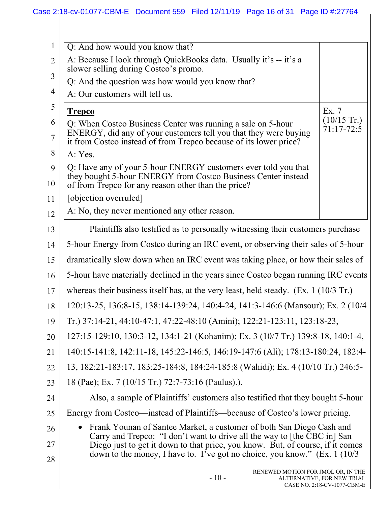| $\mathbf{1}$        | Q: And how would you know that?                                                                                                                                                                      |                                                           |
|---------------------|------------------------------------------------------------------------------------------------------------------------------------------------------------------------------------------------------|-----------------------------------------------------------|
| $\overline{2}$      | A: Because I look through QuickBooks data. Usually it's -- it's a<br>slower selling during Costco's promo.                                                                                           |                                                           |
| 3                   | Q: And the question was how would you know that?                                                                                                                                                     |                                                           |
| 4                   | A: Our customers will tell us.                                                                                                                                                                       |                                                           |
| 5                   | <b>Trepco</b>                                                                                                                                                                                        | Ex. 7                                                     |
| 6<br>$\overline{7}$ | Q: When Costco Business Center was running a sale on 5-hour<br>ENERGY, did any of your customers tell you that they were buying<br>it from Costco instead of from Trepco because of its lower price? | $(10/15 \text{ Tr.})$<br>$71:17-72:5$                     |
| 8                   | A: Yes.                                                                                                                                                                                              |                                                           |
| 9                   | Q: Have any of your 5-hour ENERGY customers ever told you that<br>they bought 5-hour ENERGY from Costco Business Center instead                                                                      |                                                           |
| 10                  | of from Trepco for any reason other than the price?                                                                                                                                                  |                                                           |
| 11                  | [objection overruled]                                                                                                                                                                                |                                                           |
| 12                  | A: No, they never mentioned any other reason.                                                                                                                                                        |                                                           |
| 13                  | Plaintiffs also testified as to personally witnessing their customers purchase                                                                                                                       |                                                           |
| 14                  | 5-hour Energy from Costco during an IRC event, or observing their sales of 5-hour                                                                                                                    |                                                           |
| 15                  | dramatically slow down when an IRC event was taking place, or how their sales of                                                                                                                     |                                                           |
| 16                  | 5-hour have materially declined in the years since Costco began running IRC events                                                                                                                   |                                                           |
| 17                  | whereas their business itself has, at the very least, held steady. $(Ex. 1 (10/3 Tr.)$                                                                                                               |                                                           |
| 18                  | 120:13-25, 136:8-15, 138:14-139:24, 140:4-24, 141:3-146:6 (Mansour); Ex. 2 (10/4)                                                                                                                    |                                                           |
| 19                  | Tr.) 37:14-21, 44:10-47:1, 47:22-48:10 (Amini); 122:21-123:11, 123:18-23,                                                                                                                            |                                                           |
| 20                  | 127:15-129:10, 130:3-12, 134:1-21 (Kohanim); Ex. 3 (10/7 Tr.) 139:8-18, 140:1-4,                                                                                                                     |                                                           |
| 21                  | 140:15-141:8, 142:11-18, 145:22-146:5, 146:19-147:6 (Ali); 178:13-180:24, 182:4-                                                                                                                     |                                                           |
| 22                  | 13, 182:21-183:17, 183:25-184:8, 184:24-185:8 (Wahidi); Ex. 4 (10/10 Tr.) 246:5-                                                                                                                     |                                                           |
| 23                  | 18 (Pae); Ex. 7 (10/15 Tr.) 72:7-73:16 (Paulus).).                                                                                                                                                   |                                                           |
| 24                  | Also, a sample of Plaintiffs' customers also testified that they bought 5-hour                                                                                                                       |                                                           |
| 25                  | Energy from Costco—instead of Plaintiffs—because of Costco's lower pricing.                                                                                                                          |                                                           |
| 26                  | Frank Younan of Santee Market, a customer of both San Diego Cash and                                                                                                                                 |                                                           |
| 27                  | Carry and Trepco: "I don't want to drive all the way to [the CBC in] San<br>Diego just to get it down to that price, you know. But, of course, if it comes                                           |                                                           |
| 28                  | down to the money, I have to. I've got no choice, you know." (Ex. 1 (10/3)                                                                                                                           |                                                           |
|                     | RENEWED MOTION FOR JMOL OR, IN THE<br>$-10-$                                                                                                                                                         | ALTERNATIVE, FOR NEW TRIAL<br>CASE NO. 2:18-CV-1077-CBM-E |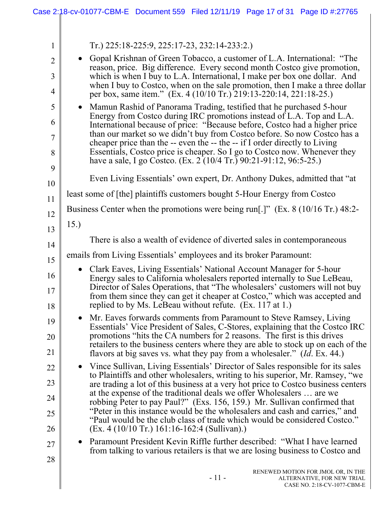|                | Case 2:18-cv-01077-CBM-E Document 559 Filed 12/11/19 Page 17 of 31 Page ID #:27765                                                                                                                                                           |
|----------------|----------------------------------------------------------------------------------------------------------------------------------------------------------------------------------------------------------------------------------------------|
|                |                                                                                                                                                                                                                                              |
| $\mathbf{1}$   | Tr.) 225:18-225:9, 225:17-23, 232:14-233:2.)                                                                                                                                                                                                 |
| $\overline{2}$ | Gopal Krishnan of Green Tobacco, a customer of L.A. International: "The<br>$\bullet$<br>reason, price. Big difference. Every second month Costco give promotion,                                                                             |
| 3<br>4         | which is when I buy to L.A. International, I make per box one dollar. And<br>when I buy to Costco, when on the sale promotion, then I make a three dollar<br>per box, same item." (Ex. 4 (10/10 Tr.) 219:13-220:14, 221:18-25.)              |
| 5              | Mamun Rashid of Panorama Trading, testified that he purchased 5-hour<br>$\bullet$                                                                                                                                                            |
| 6              | Energy from Costco during IRC promotions instead of L.A. Top and L.A.<br>International because of price: "Because before, Costco had a higher price                                                                                          |
| $\overline{7}$ | than our market so we didn't buy from Costco before. So now Costco has a<br>cheaper price than the -- even the -- the -- if I order directly to Living                                                                                       |
| 8              | Essentials, Costco price is cheaper. So I go to Costco now. Whenever they<br>have a sale, I go Costco. (Ex. $2(10/4 \text{ Tr.})90:21-91:12,96:5-25.$ )                                                                                      |
| 9              | Even Living Essentials' own expert, Dr. Anthony Dukes, admitted that "at                                                                                                                                                                     |
| 10             | least some of [the] plaintiffs customers bought 5-Hour Energy from Costco                                                                                                                                                                    |
| 11             |                                                                                                                                                                                                                                              |
| 12             | Business Center when the promotions were being run[.]" (Ex. $8(10/16 \text{ Tr.}) 48:2$ -                                                                                                                                                    |
| 13             | 15.)                                                                                                                                                                                                                                         |
| 14             | There is also a wealth of evidence of diverted sales in contemporaneous                                                                                                                                                                      |
| 15             | emails from Living Essentials' employees and its broker Paramount:                                                                                                                                                                           |
| 16             | Clark Eaves, Living Essentials' National Account Manager for 5-hour<br>$\bullet$<br>Energy sales to California wholesalers reported internally to Sue LeBeau,<br>Director of Sales Operations, that "The wholesalers' customers will not buy |
| 17<br>18       | from them since they can get it cheaper at Costco," which was accepted and<br>replied to by Ms. LeBeau without refute. (Ex. 117 at 1.)                                                                                                       |
| 19             | Mr. Eaves forwards comments from Paramount to Steve Ramsey, Living<br>$\bullet$<br>Essentials' Vice President of Sales, C-Stores, explaining that the Costco IRC                                                                             |
| 20             | promotions "hits the CA numbers for 2 reasons. The first is this drives                                                                                                                                                                      |
| 21             | retailers to the business centers where they are able to stock up on each of the<br>flavors at big saves vs. what they pay from a wholesaler." <i>(Id. Ex. 44.)</i>                                                                          |
| 22             | • Vince Sullivan, Living Essentials' Director of Sales responsible for its sales                                                                                                                                                             |
| 23             | to Plaintiffs and other wholesalers, writing to his superior, Mr. Ramsey, "we<br>are trading a lot of this business at a very hot price to Costco business centers                                                                           |
| 24             | at the expense of the traditional deals we offer Wholesalers  are we<br>robbing Peter to pay Paul?" (Exs. 156, 159.) Mr. Sullivan confirmed that                                                                                             |
| 25             | "Peter in this instance would be the wholesalers and cash and carries," and<br>"Paul would be the club class of trade which would be considered Costco."                                                                                     |
| 26             | $(Ex. 4 (10/10 Tr.) 161:16-162:4 (Sullivan).)$                                                                                                                                                                                               |
| 27             | • Paramount President Kevin Riffle further described: "What I have learned<br>from talking to various retailers is that we are losing business to Costco and                                                                                 |
| 28             | RENEWED MOTION FOR JMOL OR, IN THE<br>$-11-$<br>ALTERNATIVE, FOR NEW TRIAL<br>CASE NO. 2:18-CV-1077-CBM-E                                                                                                                                    |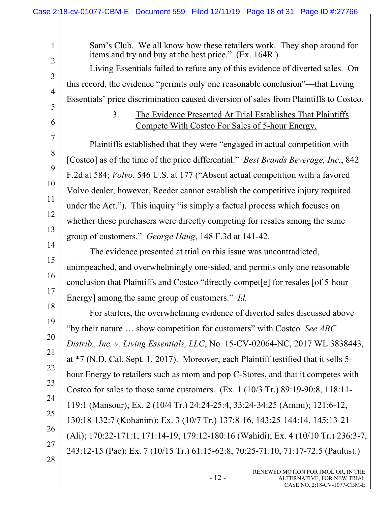Sam's Club. We all know how these retailers work. They shop around for items and try and buy at the best price." (Ex. 164R.) Living Essentials failed to refute any of this evidence of diverted sales. On this record, the evidence "permits only one reasonable conclusion"—that Living Essentials' price discrimination caused diversion of sales from Plaintiffs to Costco. 3. The Evidence Presented At Trial Establishes That Plaintiffs Compete With Costco For Sales of 5-hour Energy. Plaintiffs established that they were "engaged in actual competition with [Costco] as of the time of the price differential." *Best Brands Beverage, Inc.*, 842 F.2d at 584; *Volvo*, 546 U.S. at 177 ("Absent actual competition with a favored Volvo dealer, however, Reeder cannot establish the competitive injury required under the Act."). This inquiry "is simply a factual process which focuses on whether these purchasers were directly competing for resales among the same group of customers." *George Haug*, 148 F.3d at 141-42.

The evidence presented at trial on this issue was uncontradicted, unimpeached, and overwhelmingly one-sided, and permits only one reasonable conclusion that Plaintiffs and Costco "directly compet[e] for resales [of 5-hour Energy] among the same group of customers." *Id.*

18 19 20 23 24 25 26 For starters, the overwhelming evidence of diverted sales discussed above "by their nature … show competition for customers" with Costco *See ABC Distrib., Inc. v. Living Essentials, LLC*, No. 15-CV-02064-NC, 2017 WL 3838443, at \*7 (N.D. Cal. Sept. 1, 2017). Moreover, each Plaintiff testified that it sells 5 hour Energy to retailers such as mom and pop C-Stores, and that it competes with Costco for sales to those same customers. (Ex. 1 (10/3 Tr.) 89:19-90:8, 118:11- 119:1 (Mansour); Ex. 2 (10/4 Tr.) 24:24-25:4, 33:24-34:25 (Amini); 121:6-12, 130:18-132:7 (Kohanim); Ex. 3 (10/7 Tr.) 137:8-16, 143:25-144:14, 145:13-21 (Ali); 170:22-171:1, 171:14-19, 179:12-180:16 (Wahidi); Ex. 4 (10/10 Tr.) 236:3-7, 243:12-15 (Pae); Ex. 7 (10/15 Tr.) 61:15-62:8, 70:25-71:10, 71:17-72:5 (Paulus).)

27

1

2

3

4

5

6

7

8

9

10

11

12

13

14

15

16

17

21

22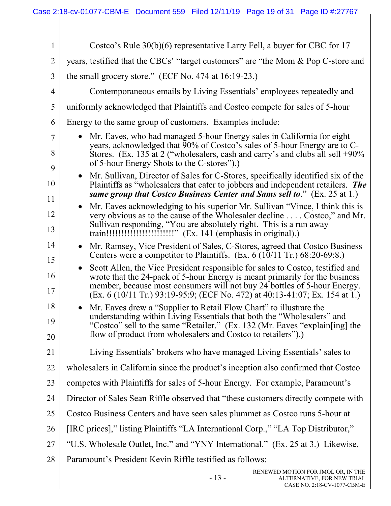| $\mathbf{1}$   | Costco's Rule $30(b)(6)$ representative Larry Fell, a buyer for CBC for 17                                                                                                                                                                                                                                                 |
|----------------|----------------------------------------------------------------------------------------------------------------------------------------------------------------------------------------------------------------------------------------------------------------------------------------------------------------------------|
| $\overline{2}$ | years, testified that the CBCs' "target customers" are "the Mom & Pop C-store and                                                                                                                                                                                                                                          |
| 3              | the small grocery store." (ECF No. 474 at $16:19-23$ .)                                                                                                                                                                                                                                                                    |
| $\overline{4}$ | Contemporaneous emails by Living Essentials' employees repeatedly and                                                                                                                                                                                                                                                      |
| 5              | uniformly acknowledged that Plaintiffs and Costco compete for sales of 5-hour                                                                                                                                                                                                                                              |
| 6              | Energy to the same group of customers. Examples include:                                                                                                                                                                                                                                                                   |
| $\tau$<br>8    | Mr. Eaves, who had managed 5-hour Energy sales in California for eight<br>years, acknowledged that 90% of Costco's sales of 5-hour Energy are to C-<br>Stores. (Ex. 135 at 2 ("wholesalers, cash and carry's and clubs all sell +90%<br>of 5-hour Energy Shots to the C-stores").                                          |
| 9<br>10<br>11  | Mr. Sullivan, Director of Sales for C-Stores, specifically identified six of the<br>Plaintiffs as "wholesalers that cater to jobbers and independent retailers. The<br>same group that Costco Business Center and Sams sell to." (Ex. 25 at 1.)                                                                            |
| 12<br>13       | Mr. Eaves acknowledging to his superior Mr. Sullivan "Vince, I think this is<br>very obvious as to the cause of the Wholesaler decline Costco," and Mr.<br>Sullivan responding, "You are absolutely right. This is a run away                                                                                              |
| 14<br>15       | Mr. Ramsey, Vice President of Sales, C-Stores, agreed that Costco Business<br>Centers were a competitor to Plaintiffs. (Ex. 6 (10/11 Tr.) 68:20-69:8.)                                                                                                                                                                     |
| 16<br>17       | Scott Allen, the Vice President responsible for sales to Costco, testified and<br>wrote that the 24-pack of 5-hour Energy is meant primarily for the business<br>member, because most consumers will not buy 24 bottles of 5-hour Energy.<br>$(Ex. 6 (10/11 Tr.) 93:19-95:9; (ECF No. 472) at 40:13-41:07; Ex. 154 at 1.)$ |
| 18<br>19<br>20 | Mr. Eaves drew a "Supplier to Retail Flow Chart" to illustrate the<br>understanding within Living Essentials that both the "Wholesalers" and<br>"Costco" sell to the same "Retailer." (Ex. 132 (Mr. Eaves "explain [ing] the<br>flow of product from wholesalers and Costco to retailers").)                               |
| 21             | Living Essentials' brokers who have managed Living Essentials' sales to                                                                                                                                                                                                                                                    |
| 22             | wholesalers in California since the product's inception also confirmed that Costco                                                                                                                                                                                                                                         |
| 23             | competes with Plaintiffs for sales of 5-hour Energy. For example, Paramount's                                                                                                                                                                                                                                              |
| 24             | Director of Sales Sean Riffle observed that "these customers directly compete with                                                                                                                                                                                                                                         |
| 25             | Costco Business Centers and have seen sales plummet as Costco runs 5-hour at                                                                                                                                                                                                                                               |
| 26             | [IRC prices]," listing Plaintiffs "LA International Corp.," "LA Top Distributor,"                                                                                                                                                                                                                                          |
| 27             | "U.S. Wholesale Outlet, Inc." and "YNY International." (Ex. 25 at 3.) Likewise,                                                                                                                                                                                                                                            |
| 28             | Paramount's President Kevin Riffle testified as follows:                                                                                                                                                                                                                                                                   |
|                | RENEWED MOTION FOR JMOL OR, IN THE<br>$-13-$<br>ALTERNATIVE, FOR NEW TRIAL<br>CASE NO. 2:18-CV-1077-CBM-E                                                                                                                                                                                                                  |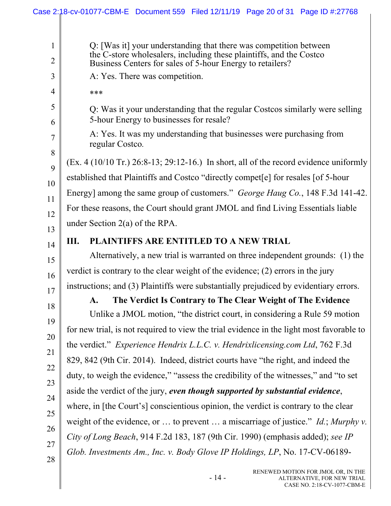|                                | Case 2:18-cv-01077-CBM-E Document 559 Filed 12/11/19 Page 20 of 31 Page ID #:27768                                                                                                                    |
|--------------------------------|-------------------------------------------------------------------------------------------------------------------------------------------------------------------------------------------------------|
|                                |                                                                                                                                                                                                       |
| $\mathbf{1}$<br>$\overline{2}$ | Q: [Was it] your understanding that there was competition between<br>the C-store wholesalers, including these plaintiffs, and the Costco<br>Business Centers for sales of 5-hour Energy to retailers? |
| 3                              | A: Yes. There was competition.                                                                                                                                                                        |
| $\overline{4}$                 |                                                                                                                                                                                                       |
|                                | ***                                                                                                                                                                                                   |
| 5<br>6                         | Q: Was it your understanding that the regular Costcos similarly were selling<br>5-hour Energy to businesses for resale?                                                                               |
| 7                              | A: Yes. It was my understanding that businesses were purchasing from<br>regular Costco.                                                                                                               |
| 8<br>9                         | $(Ex. 4 (10/10 Tr.) 26:8-13; 29:12-16.)$ In short, all of the record evidence uniformly                                                                                                               |
| 10                             | established that Plaintiffs and Costco "directly compet[e] for resales [of 5-hour                                                                                                                     |
| 11                             | Energy] among the same group of customers." George Haug Co., 148 F.3d 141-42.                                                                                                                         |
| 12                             | For these reasons, the Court should grant JMOL and find Living Essentials liable                                                                                                                      |
| 13                             | under Section $2(a)$ of the RPA.                                                                                                                                                                      |
| 14                             | PLAINTIFFS ARE ENTITLED TO A NEW TRIAL<br>Ш.                                                                                                                                                          |
| 15                             | Alternatively, a new trial is warranted on three independent grounds: (1) the                                                                                                                         |
| 16                             | verdict is contrary to the clear weight of the evidence; $(2)$ errors in the jury                                                                                                                     |
| 17                             | instructions; and (3) Plaintiffs were substantially prejudiced by evidentiary errors.                                                                                                                 |
| 18                             | The Verdict Is Contrary to The Clear Weight of The Evidence<br>$\mathbf{A}$ .                                                                                                                         |
| 19                             | Unlike a JMOL motion, "the district court, in considering a Rule 59 motion                                                                                                                            |
|                                | for new trial, is not required to view the trial evidence in the light most favorable to                                                                                                              |
| 20                             | the verdict." <i>Experience Hendrix L.L.C. v. Hendrixlicensing.com Ltd, 762 F.3d</i>                                                                                                                  |
| 21                             | 829, 842 (9th Cir. 2014). Indeed, district courts have "the right, and indeed the                                                                                                                     |
| 22                             | duty, to weigh the evidence," "assess the credibility of the witnesses," and "to set                                                                                                                  |
| 23                             | aside the verdict of the jury, even though supported by substantial evidence,                                                                                                                         |
| 24                             | where, in [the Court's] conscientious opinion, the verdict is contrary to the clear                                                                                                                   |
| 25                             | weight of the evidence, or  to prevent  a miscarriage of justice." <i>Id.</i> ; Murphy v.                                                                                                             |
| 26                             | City of Long Beach, 914 F.2d 183, 187 (9th Cir. 1990) (emphasis added); see IP                                                                                                                        |
| 27                             | Glob. Investments Am., Inc. v. Body Glove IP Holdings, LP, No. 17-CV-06189-                                                                                                                           |
| 28                             |                                                                                                                                                                                                       |
|                                | RENEWED MOTION FOR JMOL OR, IN THE<br>$-14-$<br>ALTERNATIVE, FOR NEW TRIAL<br>CASE NO. 2:18-CV-1077-CBM-E                                                                                             |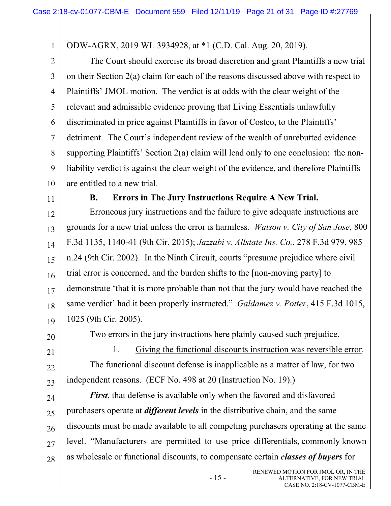ODW-AGRX, 2019 WL 3934928, at \*1 (C.D. Cal. Aug. 20, 2019).

2 3 4 5 6 7 8 9 10 The Court should exercise its broad discretion and grant Plaintiffs a new trial on their Section 2(a) claim for each of the reasons discussed above with respect to Plaintiffs' JMOL motion. The verdict is at odds with the clear weight of the relevant and admissible evidence proving that Living Essentials unlawfully discriminated in price against Plaintiffs in favor of Costco, to the Plaintiffs' detriment. The Court's independent review of the wealth of unrebutted evidence supporting Plaintiffs' Section 2(a) claim will lead only to one conclusion: the nonliability verdict is against the clear weight of the evidence, and therefore Plaintiffs are entitled to a new trial.

11

1

### **B. Errors in The Jury Instructions Require A New Trial.**

12 13 14 15 16 17 18 19 Erroneous jury instructions and the failure to give adequate instructions are grounds for a new trial unless the error is harmless. *Watson v. City of San Jose*, 800 F.3d 1135, 1140-41 (9th Cir. 2015); *Jazzabi v. Allstate Ins. Co.*, 278 F.3d 979, 985 n.24 (9th Cir. 2002). In the Ninth Circuit, courts "presume prejudice where civil trial error is concerned, and the burden shifts to the [non-moving party] to demonstrate 'that it is more probable than not that the jury would have reached the same verdict' had it been properly instructed." *Galdamez v. Potter*, 415 F.3d 1015, 1025 (9th Cir. 2005).

20

21

22

23

Two errors in the jury instructions here plainly caused such prejudice.

1. Giving the functional discounts instruction was reversible error. The functional discount defense is inapplicable as a matter of law, for two independent reasons. (ECF No. 498 at 20 (Instruction No. 19).)

24 25 26 27 28 *First*, that defense is available only when the favored and disfavored purchasers operate at *different levels* in the distributive chain, and the same discounts must be made available to all competing purchasers operating at the same level. "Manufacturers are permitted to use price differentials, commonly known as wholesale or functional discounts, to compensate certain *classes of buyers* for

- 15 -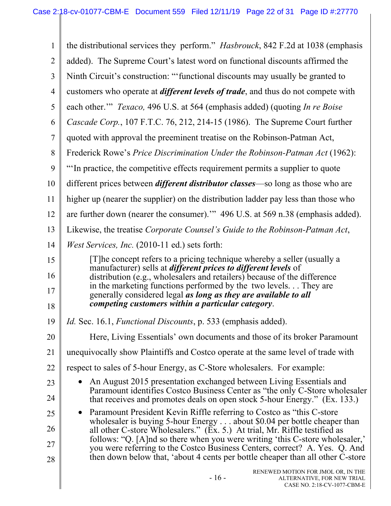| $\mathbf{1}$   | the distributional services they perform." <i>Hasbrouck</i> , 842 F.2d at 1038 (emphasis                                                                      |
|----------------|---------------------------------------------------------------------------------------------------------------------------------------------------------------|
| $\overline{2}$ | added). The Supreme Court's latest word on functional discounts affirmed the                                                                                  |
| $\overline{3}$ | Ninth Circuit's construction: ""functional discounts may usually be granted to                                                                                |
| $\overline{4}$ | customers who operate at <i>different levels of trade</i> , and thus do not compete with                                                                      |
| 5              | each other."" Texaco, 496 U.S. at 564 (emphasis added) (quoting In re Boise                                                                                   |
| 6              | Cascade Corp., 107 F.T.C. 76, 212, 214-15 (1986). The Supreme Court further                                                                                   |
| $\overline{7}$ | quoted with approval the preeminent treatise on the Robinson-Patman Act,                                                                                      |
| 8              | Frederick Rowe's Price Discrimination Under the Robinson-Patman Act (1962):                                                                                   |
| 9              | "In practice, the competitive effects requirement permits a supplier to quote                                                                                 |
| 10             | different prices between <i>different distributor classes</i> —so long as those who are                                                                       |
| 11             | higher up (nearer the supplier) on the distribution ladder pay less than those who                                                                            |
| 12             | are further down (nearer the consumer)." 496 U.S. at 569 n.38 (emphasis added).                                                                               |
| 13             | Likewise, the treatise Corporate Counsel's Guide to the Robinson-Patman Act,                                                                                  |
| 14             | <i>West Services, Inc.</i> (2010-11 ed.) sets forth:                                                                                                          |
| 15             | [T]he concept refers to a pricing technique whereby a seller (usually a                                                                                       |
| 16             | manufacturer) sells at <i>different prices to different levels</i> of<br>distribution (e.g., wholesalers and retailers) because of the difference             |
| 17             | in the marketing functions performed by the two levels They are<br>generally considered legal as long as they are available to all                            |
| 18             | competing customers within a particular category.                                                                                                             |
| 19             | Id. Sec. 16.1, Functional Discounts, p. 533 (emphasis added).                                                                                                 |
| 20             | Here, Living Essentials' own documents and those of its broker Paramount                                                                                      |
| 21             | unequivocally show Plaintiffs and Costco operate at the same level of trade with                                                                              |
| 22             | respect to sales of 5-hour Energy, as C-Store wholesalers. For example:                                                                                       |
| 23             | An August 2015 presentation exchanged between Living Essentials and<br>Paramount identifies Costco Business Center as "the only C-Store wholesaler            |
| 24             | that receives and promotes deals on open stock 5-hour Energy." (Ex. 133.)                                                                                     |
| 25             | Paramount President Kevin Riffle referring to Costco as "this C-store"                                                                                        |
| 26             | wholesaler is buying 5-hour Energy $\dots$ about \$0.04 per bottle cheaper than<br>all other C-store Wholesalers." (Ex. 5.) At trial, Mr. Riffle testified as |
| 27             | follows: "Q. [A]nd so there when you were writing 'this C-store wholesaler,'<br>you were referring to the Costco Business Centers, correct? A. Yes. Q. And    |
| 28             | then down below that, 'about 4 cents per bottle cheaper than all other C-store                                                                                |
|                | RENEWED MOTION FOR JMOL OR, IN THE<br>$-16-$<br>ALTERNATIVE, FOR NEW TRIAL<br>CASE NO. 2:18-CV-1077-CBM-E                                                     |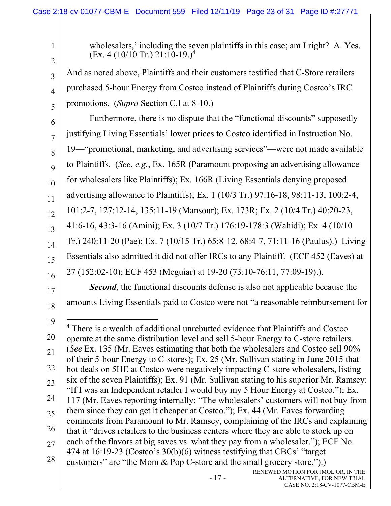| $\mathbf{1}$<br>$\overline{2}$                           | wholesalers,' including the seven plaintiffs in this case; am I right? A. Yes.<br>$(Ex. 4 (10/10 Tr.) 21:10-19.)4$                                                                                                                                                                                                                                                                                                                                                                                                                                                                                                                                                                                                                                                                                                                                                                                                                                                                                                                                                                                                                                                                                                                                                |
|----------------------------------------------------------|-------------------------------------------------------------------------------------------------------------------------------------------------------------------------------------------------------------------------------------------------------------------------------------------------------------------------------------------------------------------------------------------------------------------------------------------------------------------------------------------------------------------------------------------------------------------------------------------------------------------------------------------------------------------------------------------------------------------------------------------------------------------------------------------------------------------------------------------------------------------------------------------------------------------------------------------------------------------------------------------------------------------------------------------------------------------------------------------------------------------------------------------------------------------------------------------------------------------------------------------------------------------|
| 3                                                        | And as noted above, Plaintiffs and their customers testified that C-Store retailers                                                                                                                                                                                                                                                                                                                                                                                                                                                                                                                                                                                                                                                                                                                                                                                                                                                                                                                                                                                                                                                                                                                                                                               |
| $\overline{4}$                                           | purchased 5-hour Energy from Costco instead of Plaintiffs during Costco's IRC                                                                                                                                                                                                                                                                                                                                                                                                                                                                                                                                                                                                                                                                                                                                                                                                                                                                                                                                                                                                                                                                                                                                                                                     |
| 5                                                        | promotions. (Supra Section C.I at 8-10.)                                                                                                                                                                                                                                                                                                                                                                                                                                                                                                                                                                                                                                                                                                                                                                                                                                                                                                                                                                                                                                                                                                                                                                                                                          |
| 6                                                        | Furthermore, there is no dispute that the "functional discounts" supposedly                                                                                                                                                                                                                                                                                                                                                                                                                                                                                                                                                                                                                                                                                                                                                                                                                                                                                                                                                                                                                                                                                                                                                                                       |
| $\overline{7}$                                           | justifying Living Essentials' lower prices to Costco identified in Instruction No.                                                                                                                                                                                                                                                                                                                                                                                                                                                                                                                                                                                                                                                                                                                                                                                                                                                                                                                                                                                                                                                                                                                                                                                |
| 8                                                        | 19—"promotional, marketing, and advertising services"—were not made available                                                                                                                                                                                                                                                                                                                                                                                                                                                                                                                                                                                                                                                                                                                                                                                                                                                                                                                                                                                                                                                                                                                                                                                     |
| 9                                                        | to Plaintiffs. (See, e.g., Ex. 165R (Paramount proposing an advertising allowance                                                                                                                                                                                                                                                                                                                                                                                                                                                                                                                                                                                                                                                                                                                                                                                                                                                                                                                                                                                                                                                                                                                                                                                 |
| 10                                                       | for wholesalers like Plaintiffs); Ex. 166R (Living Essentials denying proposed                                                                                                                                                                                                                                                                                                                                                                                                                                                                                                                                                                                                                                                                                                                                                                                                                                                                                                                                                                                                                                                                                                                                                                                    |
| 11                                                       | advertising allowance to Plaintiffs); Ex. 1 (10/3 Tr.) 97:16-18, 98:11-13, 100:2-4,                                                                                                                                                                                                                                                                                                                                                                                                                                                                                                                                                                                                                                                                                                                                                                                                                                                                                                                                                                                                                                                                                                                                                                               |
| 12                                                       | 101:2-7, 127:12-14, 135:11-19 (Mansour); Ex. 173R; Ex. 2 (10/4 Tr.) 40:20-23,                                                                                                                                                                                                                                                                                                                                                                                                                                                                                                                                                                                                                                                                                                                                                                                                                                                                                                                                                                                                                                                                                                                                                                                     |
| 13                                                       | 41:6-16, 43:3-16 (Amini); Ex. 3 (10/7 Tr.) 176:19-178:3 (Wahidi); Ex. 4 (10/10)                                                                                                                                                                                                                                                                                                                                                                                                                                                                                                                                                                                                                                                                                                                                                                                                                                                                                                                                                                                                                                                                                                                                                                                   |
| 14                                                       | Tr.) 240:11-20 (Pae); Ex. 7 (10/15 Tr.) 65:8-12, 68:4-7, 71:11-16 (Paulus).) Living                                                                                                                                                                                                                                                                                                                                                                                                                                                                                                                                                                                                                                                                                                                                                                                                                                                                                                                                                                                                                                                                                                                                                                               |
| 15                                                       | Essentials also admitted it did not offer IRCs to any Plaintiff. (ECF 452 (Eaves) at                                                                                                                                                                                                                                                                                                                                                                                                                                                                                                                                                                                                                                                                                                                                                                                                                                                                                                                                                                                                                                                                                                                                                                              |
| 16                                                       | 27 (152:02-10); ECF 453 (Meguiar) at 19-20 (73:10-76:11, 77:09-19).).                                                                                                                                                                                                                                                                                                                                                                                                                                                                                                                                                                                                                                                                                                                                                                                                                                                                                                                                                                                                                                                                                                                                                                                             |
| 17                                                       | <b>Second</b> , the functional discounts defense is also not applicable because the                                                                                                                                                                                                                                                                                                                                                                                                                                                                                                                                                                                                                                                                                                                                                                                                                                                                                                                                                                                                                                                                                                                                                                               |
| 18                                                       | amounts Living Essentials paid to Costco were not "a reasonable reimbursement for                                                                                                                                                                                                                                                                                                                                                                                                                                                                                                                                                                                                                                                                                                                                                                                                                                                                                                                                                                                                                                                                                                                                                                                 |
| 19<br>20<br>21<br>22<br>23<br>24<br>25<br>26<br>27<br>28 | <sup>4</sup> There is a wealth of additional unrebutted evidence that Plaintiffs and Costco<br>operate at the same distribution level and sell 5-hour Energy to C-store retailers.<br>(See Ex. 135 (Mr. Eaves estimating that both the wholesalers and Costco sell 90%)<br>of their 5-hour Energy to C-stores); Ex. 25 (Mr. Sullivan stating in June 2015 that<br>hot deals on 5HE at Costco were negatively impacting C-store wholesalers, listing<br>six of the seven Plaintiffs); Ex. 91 (Mr. Sullivan stating to his superior Mr. Ramsey:<br>"If I was an Independent retailer I would buy my 5 Hour Energy at Costco."); Ex.<br>117 (Mr. Eaves reporting internally: "The wholesalers' customers will not buy from<br>them since they can get it cheaper at Costco."); Ex. 44 (Mr. Eaves forwarding<br>comments from Paramount to Mr. Ramsey, complaining of the IRCs and explaining<br>that it "drives retailers to the business centers where they are able to stock up on<br>each of the flavors at big saves vs. what they pay from a wholesaler."); ECF No.<br>474 at 16:19-23 (Costco's 30(b)(6) witness testifying that CBCs' "target<br>customers" are "the Mom & Pop C-store and the small grocery store.").)<br>RENEWED MOTION FOR JMOL OR, IN THE |
|                                                          | $-17-$<br>ALTERNATIVE, FOR NEW TRIAL<br>CASE NO. 2:18-CV-1077-CBM-E                                                                                                                                                                                                                                                                                                                                                                                                                                                                                                                                                                                                                                                                                                                                                                                                                                                                                                                                                                                                                                                                                                                                                                                               |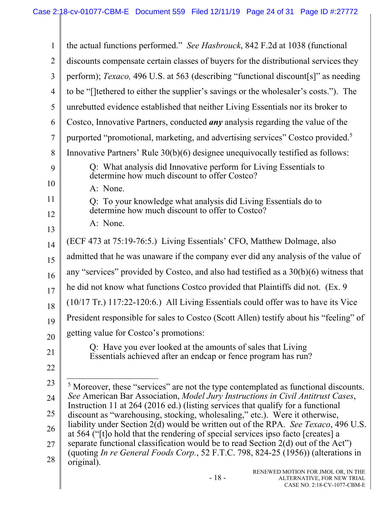| 1              | the actual functions performed." See Hasbrouck, 842 F.2d at 1038 (functional                                                                                            |
|----------------|-------------------------------------------------------------------------------------------------------------------------------------------------------------------------|
| $\overline{2}$ | discounts compensate certain classes of buyers for the distributional services they                                                                                     |
| 3              | perform); Texaco, 496 U.S. at 563 (describing "functional discount[s]" as needing                                                                                       |
| 4              | to be "[]tethered to either the supplier's savings or the wholesaler's costs."). The                                                                                    |
| 5              | unrebutted evidence established that neither Living Essentials nor its broker to                                                                                        |
| 6              | Costco, Innovative Partners, conducted <i>any</i> analysis regarding the value of the                                                                                   |
| $\overline{7}$ | purported "promotional, marketing, and advertising services" Costco provided. <sup>5</sup>                                                                              |
| 8              | Innovative Partners' Rule 30(b)(6) designee unequivocally testified as follows:                                                                                         |
| 9              | Q: What analysis did Innovative perform for Living Essentials to<br>determine how much discount to offer Costco?                                                        |
| 10             | A: None.                                                                                                                                                                |
| 11             | Q: To your knowledge what analysis did Living Essentials do to<br>determine how much discount to offer to Costco?                                                       |
| 12             | A: None.                                                                                                                                                                |
| 13             |                                                                                                                                                                         |
| 14             | (ECF 473 at 75:19-76:5.) Living Essentials' CFO, Matthew Dolmage, also                                                                                                  |
| 15             | admitted that he was unaware if the company ever did any analysis of the value of                                                                                       |
| 16             | any "services" provided by Costco, and also had testified as a $30(b)(6)$ witness that                                                                                  |
| 17             | he did not know what functions Costco provided that Plaintiffs did not. (Ex. 9)                                                                                         |
| 18             | $(10/17 \text{ Tr.}) 117:22-120:6$ .) All Living Essentials could offer was to have its Vice                                                                            |
| 19             | President responsible for sales to Costco (Scott Allen) testify about his "feeling" of                                                                                  |
| 20             | getting value for Costco's promotions:                                                                                                                                  |
| 21             | Q: Have you ever looked at the amounts of sales that Living<br>Essentials achieved after an endcap or fence program has run?                                            |
| 22             |                                                                                                                                                                         |
| 23             | <sup>5</sup> Moreover, these "services" are not the type contemplated as functional discounts.                                                                          |
| 24             | See American Bar Association, Model Jury Instructions in Civil Antitrust Cases,                                                                                         |
| 25             | Instruction 11 at 264 (2016 ed.) (listing services that qualify for a functional<br>discount as "warehousing, stocking, wholesaling," etc.). Were it otherwise,         |
| 26             | liability under Section 2(d) would be written out of the RPA. See Texaco, 496 U.S.                                                                                      |
| 27             | at 564 ("[t]o hold that the rendering of special services ipso facto [creates] a<br>separate functional classification would be to read Section $2(d)$ out of the Act") |
| 28             | (quoting In re General Foods Corp., 52 F.T.C. 798, 824-25 (1956)) (alterations in<br>original).                                                                         |
|                | RENEWED MOTION FOR JMOL OR, IN THE<br>$-18-$<br>ALTERNATIVE, FOR NEW TRIAL<br>CASE NO. 2:18-CV-1077-CBM-E                                                               |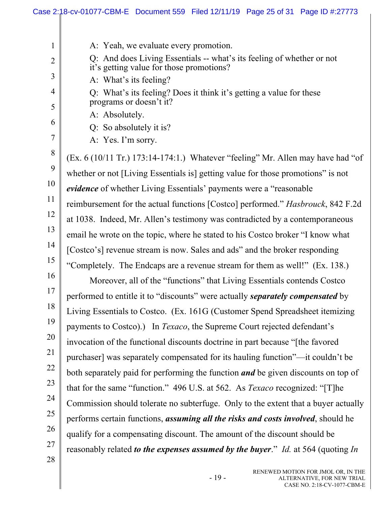|                | Case 2:18-cv-01077-CBM-E Document 559 Filed 12/11/19 Page 25 of 31 Page ID #:27773                                |
|----------------|-------------------------------------------------------------------------------------------------------------------|
|                |                                                                                                                   |
| 1              | A: Yeah, we evaluate every promotion.                                                                             |
| $\overline{2}$ | Q: And does Living Essentials -- what's its feeling of whether or not<br>it's getting value for those promotions? |
| 3              | A: What's its feeling?                                                                                            |
| 4<br>5         | Q: What's its feeling? Does it think it's getting a value for these<br>programs or doesn't it?                    |
|                | A: Absolutely.                                                                                                    |
| 6              | Q: So absolutely it is?                                                                                           |
| 7              | A: Yes. I'm sorry.                                                                                                |
| 8              | (Ex. 6 (10/11 Tr.) 173:14-174:1.) Whatever "feeling" Mr. Allen may have had "of                                   |
| 9              | whether or not [Living Essentials is] getting value for those promotions" is not                                  |
| 10             | evidence of whether Living Essentials' payments were a "reasonable                                                |
| 11             | reimbursement for the actual functions [Costco] performed." Hasbrouck, 842 F.2d                                   |
| 12             | at 1038. Indeed, Mr. Allen's testimony was contradicted by a contemporaneous                                      |
| 13             | email he wrote on the topic, where he stated to his Costco broker "I know what                                    |
| 14             | [Costco's] revenue stream is now. Sales and ads" and the broker responding                                        |
| 15             | "Completely. The Endcaps are a revenue stream for them as well!" (Ex. 138.)                                       |
| 16             | Moreover, all of the "functions" that Living Essentials contends Costco                                           |
| 17             | performed to entitle it to "discounts" were actually separately compensated by                                    |
| 18             | Living Essentials to Costco. (Ex. 161G (Customer Spend Spreadsheet itemizing                                      |
| 19             | payments to Costco).) In Texaco, the Supreme Court rejected defendant's                                           |
| 20             | invocation of the functional discounts doctrine in part because "[the favored                                     |
| 21             | purchaser] was separately compensated for its hauling function"-it couldn't be                                    |
| 22             | both separately paid for performing the function <i>and</i> be given discounts on top of                          |
| 23             | that for the same "function." 496 U.S. at 562. As <i>Texaco</i> recognized: "[T]he                                |
| 24             | Commission should tolerate no subterfuge. Only to the extent that a buyer actually                                |
| 25             | performs certain functions, <i>assuming all the risks and costs involved</i> , should he                          |
| 26             | qualify for a compensating discount. The amount of the discount should be                                         |
| 27             | reasonably related <i>to the expenses assumed by the buyer.</i> " <i>Id.</i> at 564 (quoting <i>In</i> )          |
| 28             |                                                                                                                   |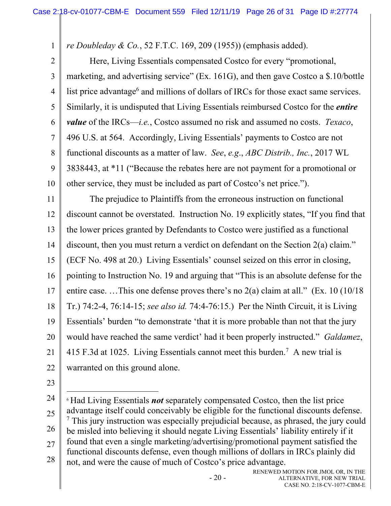*re Doubleday & Co.*, 52 F.T.C. 169, 209 (1955)) (emphasis added).

2 3 4 5 6 7 8 9 10 Here, Living Essentials compensated Costco for every "promotional, marketing, and advertising service" (Ex. 161G), and then gave Costco a \$.10/bottle list price advantage<sup>6</sup> and millions of dollars of IRCs for those exact same services. Similarly, it is undisputed that Living Essentials reimbursed Costco for the *entire value* of the IRCs—*i.e.*, Costco assumed no risk and assumed no costs. *Texaco*, 496 U.S. at 564. Accordingly, Living Essentials' payments to Costco are not functional discounts as a matter of law. *See*, *e.g*., *ABC Distrib., Inc.*, 2017 WL 3838443, at \*11 ("Because the rebates here are not payment for a promotional or other service, they must be included as part of Costco's net price.").

11 12 13 14 15 16 17 18 19 20 21 22 The prejudice to Plaintiffs from the erroneous instruction on functional discount cannot be overstated. Instruction No. 19 explicitly states, "If you find that the lower prices granted by Defendants to Costco were justified as a functional discount, then you must return a verdict on defendant on the Section 2(a) claim." (ECF No. 498 at 20.) Living Essentials' counsel seized on this error in closing, pointing to Instruction No. 19 and arguing that "This is an absolute defense for the entire case. ... This one defense proves there's no  $2(a)$  claim at all." (Ex. 10 (10/18) Tr.) 74:2-4, 76:14-15; *see also id.* 74:4-76:15.) Per the Ninth Circuit, it is Living Essentials' burden "to demonstrate 'that it is more probable than not that the jury would have reached the same verdict' had it been properly instructed." *Galdamez*, 415 F.3d at 1025. Living Essentials cannot meet this burden.<sup>7</sup> A new trial is warranted on this ground alone.

23

1

24 25 26 27 28 <sup>6</sup> Had Living Essentials *not* separately compensated Costco, then the list price advantage itself could conceivably be eligible for the functional discounts defense. <sup>7</sup> This jury instruction was especially prejudicial because, as phrased, the jury could be misled into believing it should negate Living Essentials' liability entirely if it found that even a single marketing/advertising/promotional payment satisfied the functional discounts defense, even though millions of dollars in IRCs plainly did not, and were the cause of much of Costco's price advantage.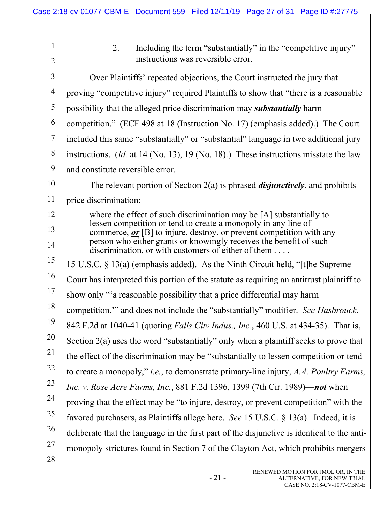| 1              | Including the term "substantially" in the "competitive injury"<br>2.                                                                     |
|----------------|------------------------------------------------------------------------------------------------------------------------------------------|
| $\overline{2}$ | instructions was reversible error.                                                                                                       |
| 3              | Over Plaintiffs' repeated objections, the Court instructed the jury that                                                                 |
| 4              | proving "competitive injury" required Plaintiffs to show that "there is a reasonable                                                     |
| 5              | possibility that the alleged price discrimination may <i>substantially</i> harm                                                          |
| 6              | competition." (ECF 498 at 18 (Instruction No. 17) (emphasis added).) The Court                                                           |
| 7              | included this same "substantially" or "substantial" language in two additional jury                                                      |
| 8              | instructions. ( <i>Id.</i> at 14 (No. 13), 19 (No. 18).) These instructions misstate the law                                             |
| 9              | and constitute reversible error.                                                                                                         |
| 10             | The relevant portion of Section $2(a)$ is phrased <i>disjunctively</i> , and prohibits                                                   |
| 11             | price discrimination:                                                                                                                    |
| 12             | where the effect of such discrimination may be $[A]$ substantially to                                                                    |
| 13             | lessen competition or tend to create a monopoly in any line of<br>commerce, $or$ [B] to injure, destroy, or prevent competition with any |
| 14             | person who either grants or knowingly receives the benefit of such<br>discrimination, or with customers of either of them $\dots$        |
| 15             | 15 U.S.C. § 13(a) (emphasis added). As the Ninth Circuit held, "[t] he Supreme                                                           |
| 16             | Court has interpreted this portion of the statute as requiring an antitrust plaintiff to                                                 |
| 17             | show only "a reasonable possibility that a price differential may harm                                                                   |
| 18             | competition," and does not include the "substantially" modifier. See Hasbrouck,                                                          |
| 19             | 842 F.2d at 1040-41 (quoting Falls City Indus., Inc., 460 U.S. at 434-35). That is,                                                      |
| 20             | Section 2(a) uses the word "substantially" only when a plaintiff seeks to prove that                                                     |
| 21             | the effect of the discrimination may be "substantially to lessen competition or tend                                                     |
| 22             | to create a monopoly," <i>i.e.</i> , to demonstrate primary-line injury, A.A. Poultry Farms,                                             |
| 23             | <i>Inc. v. Rose Acre Farms, Inc.</i> , 881 F.2d 1396, 1399 (7th Cir. 1989)— <i>not</i> when                                              |
| 24             | proving that the effect may be "to injure, destroy, or prevent competition" with the                                                     |
| 25             | favored purchasers, as Plaintiffs allege here. See 15 U.S.C. $\S$ 13(a). Indeed, it is                                                   |
| 26             | deliberate that the language in the first part of the disjunctive is identical to the anti-                                              |
| 27             | monopoly strictures found in Section 7 of the Clayton Act, which prohibits mergers                                                       |
| 28             |                                                                                                                                          |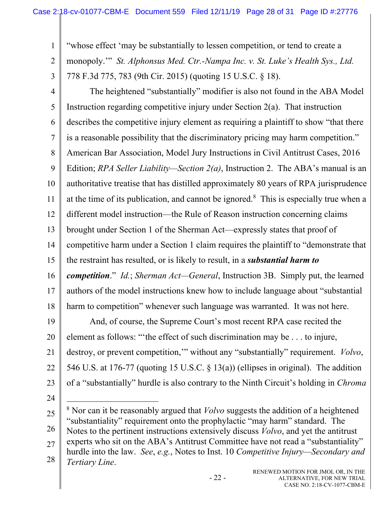"whose effect 'may be substantially to lessen competition, or tend to create a

2 monopoly.'" *St. Alphonsus Med. Ctr.-Nampa Inc. v. St. Luke's Health Sys., Ltd.*

778 F.3d 775, 783 (9th Cir. 2015) (quoting 15 U.S.C. § 18).

4 5 6 7 8 9 10 11 12 13 14 15 16 17 18 19 20 The heightened "substantially" modifier is also not found in the ABA Model Instruction regarding competitive injury under Section 2(a). That instruction describes the competitive injury element as requiring a plaintiff to show "that there is a reasonable possibility that the discriminatory pricing may harm competition." American Bar Association, Model Jury Instructions in Civil Antitrust Cases, 2016 Edition; *RPA Seller Liability—Section 2(a)*, Instruction 2. The ABA's manual is an authoritative treatise that has distilled approximately 80 years of RPA jurisprudence at the time of its publication, and cannot be ignored.<sup>8</sup> This is especially true when a different model instruction—the Rule of Reason instruction concerning claims brought under Section 1 of the Sherman Act—expressly states that proof of competitive harm under a Section 1 claim requires the plaintiff to "demonstrate that the restraint has resulted, or is likely to result, in a *substantial harm to competition*." *Id.*; *Sherman Act—General*, Instruction 3B. Simply put, the learned authors of the model instructions knew how to include language about "substantial harm to competition" whenever such language was warranted. It was not here. And, of course, the Supreme Court's most recent RPA case recited the element as follows: "'the effect of such discrimination may be . . . to injure,

21 destroy, or prevent competition,'" without any "substantially" requirement. *Volvo*,

22 546 U.S. at 176-77 (quoting 15 U.S.C. § 13(a)) (ellipses in original). The addition

- 23 of a "substantially" hurdle is also contrary to the Ninth Circuit's holding in *Chroma*
- 24

1

3

<sup>25</sup>  26 27 28 8 Nor can it be reasonably argued that *Volvo* suggests the addition of a heightened "substantiality" requirement onto the prophylactic "may harm" standard. The Notes to the pertinent instructions extensively discuss *Volvo*, and yet the antitrust experts who sit on the ABA's Antitrust Committee have not read a "substantiality" hurdle into the law. *See*, *e.g.*, Notes to Inst. 10 *Competitive Injury—Secondary and Tertiary Line*.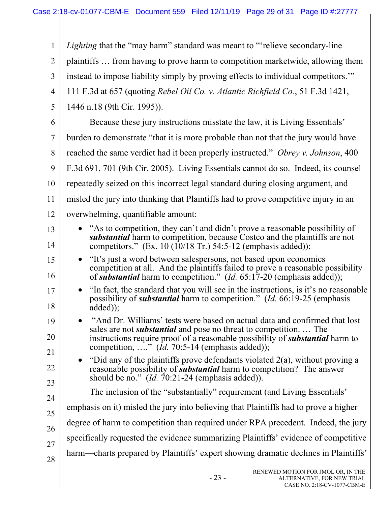| 1              | <i>Lighting</i> that the "may harm" standard was meant to "relieve secondary-line                                                                                                                                                     |
|----------------|---------------------------------------------------------------------------------------------------------------------------------------------------------------------------------------------------------------------------------------|
| $\overline{2}$ | plaintiffs  from having to prove harm to competition marketwide, allowing them                                                                                                                                                        |
| 3              | instead to impose liability simply by proving effects to individual competitors."                                                                                                                                                     |
| $\overline{4}$ | 111 F.3d at 657 (quoting Rebel Oil Co. v. Atlantic Richfield Co., 51 F.3d 1421,                                                                                                                                                       |
| 5              | 1446 n.18 (9th Cir. 1995)).                                                                                                                                                                                                           |
| 6              | Because these jury instructions misstate the law, it is Living Essentials'                                                                                                                                                            |
| 7              | burden to demonstrate "that it is more probable than not that the jury would have                                                                                                                                                     |
| 8              | reached the same verdict had it been properly instructed." Obrey v. Johnson, 400                                                                                                                                                      |
| 9              | F.3d 691, 701 (9th Cir. 2005). Living Essentials cannot do so. Indeed, its counsel                                                                                                                                                    |
| 10             | repeatedly seized on this incorrect legal standard during closing argument, and                                                                                                                                                       |
| 11             | misled the jury into thinking that Plaintiffs had to prove competitive injury in an                                                                                                                                                   |
| 12             | overwhelming, quantifiable amount:                                                                                                                                                                                                    |
| 13             | "As to competition, they can't and didn't prove a reasonable possibility of<br><b>substantial</b> harm to competition, because Costco and the plaintiffs are not                                                                      |
| 14             | competitors." (Ex. 10 (10/18 Tr.) 54:5-12 (emphasis added));                                                                                                                                                                          |
| 15<br>16       | "It's just a word between salespersons, not based upon economics<br>competition at all. And the plaintiffs failed to prove a reasonable possibility<br>of <i>substantial</i> harm to competition." $(Id. 65:17-20$ (emphasis added)); |
| 17<br>18       | "In fact, the standard that you will see in the instructions, is it's no reasonable<br>possibility of <i>substantial</i> harm to competition." ( <i>Id.</i> 66:19-25 (emphasis<br>added));                                            |
| 19             | "And Dr. Williams' tests were based on actual data and confirmed that lost                                                                                                                                                            |
| 20             | sales are not <i>substantial</i> and pose no threat to competition The<br>instructions require proof of a reasonable possibility of <i>substantial</i> harm to                                                                        |
| 21             | competition, " $(Id. 70:5-14$ (emphasis added));                                                                                                                                                                                      |
| 22             | "Did any of the plaintiffs prove defendants violated 2(a), without proving a<br>reasonable possibility of <i>substantial</i> harm to competition? The answer                                                                          |
| 23             | should be no." $(Id. 70:21-24$ (emphasis added)).                                                                                                                                                                                     |
| 24             | The inclusion of the "substantially" requirement (and Living Essentials'                                                                                                                                                              |
| 25             | emphasis on it) misled the jury into believing that Plaintiffs had to prove a higher                                                                                                                                                  |
| 26             | degree of harm to competition than required under RPA precedent. Indeed, the jury                                                                                                                                                     |
| 27             | specifically requested the evidence summarizing Plaintiffs' evidence of competitive                                                                                                                                                   |
| 28             | harm—charts prepared by Plaintiffs' expert showing dramatic declines in Plaintiffs'                                                                                                                                                   |
|                |                                                                                                                                                                                                                                       |

- 23 -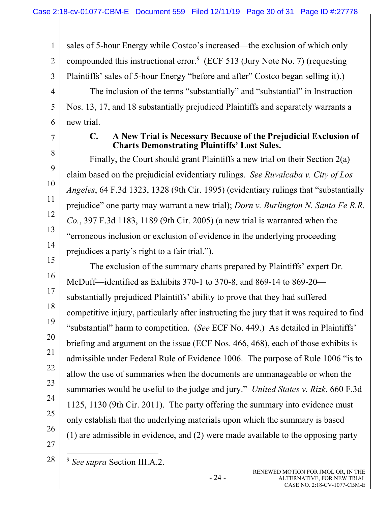1 2 3 4 5 6 sales of 5-hour Energy while Costco's increased—the exclusion of which only compounded this instructional error.<sup>9</sup> (ECF 513 (Jury Note No. 7) (requesting Plaintiffs' sales of 5-hour Energy "before and after" Costco began selling it).) The inclusion of the terms "substantially" and "substantial" in Instruction Nos. 13, 17, and 18 substantially prejudiced Plaintiffs and separately warrants a new trial.

7

8

9

10

11

12

13

14

15

16

17

18

20

21

22

23

24

25

#### **C. A New Trial is Necessary Because of the Prejudicial Exclusion of Charts Demonstrating Plaintiffs' Lost Sales.**

 Finally, the Court should grant Plaintiffs a new trial on their Section 2(a) claim based on the prejudicial evidentiary rulings. *See Ruvalcaba v. City of Los Angeles*, 64 F.3d 1323, 1328 (9th Cir. 1995) (evidentiary rulings that "substantially prejudice" one party may warrant a new trial); *Dorn v. Burlington N. Santa Fe R.R. Co.*, 397 F.3d 1183, 1189 (9th Cir. 2005) (a new trial is warranted when the "erroneous inclusion or exclusion of evidence in the underlying proceeding prejudices a party's right to a fair trial.").

19 26 The exclusion of the summary charts prepared by Plaintiffs' expert Dr. McDuff—identified as Exhibits 370-1 to 370-8, and 869-14 to 869-20 substantially prejudiced Plaintiffs' ability to prove that they had suffered competitive injury, particularly after instructing the jury that it was required to find "substantial" harm to competition. (*See* ECF No. 449.) As detailed in Plaintiffs' briefing and argument on the issue (ECF Nos. 466, 468), each of those exhibits is admissible under Federal Rule of Evidence 1006. The purpose of Rule 1006 "is to allow the use of summaries when the documents are unmanageable or when the summaries would be useful to the judge and jury." *United States v. Rizk*, 660 F.3d 1125, 1130 (9th Cir. 2011). The party offering the summary into evidence must only establish that the underlying materials upon which the summary is based (1) are admissible in evidence, and (2) were made available to the opposing party

27 28

<sup>9</sup> *See supra* Section III.A.2.